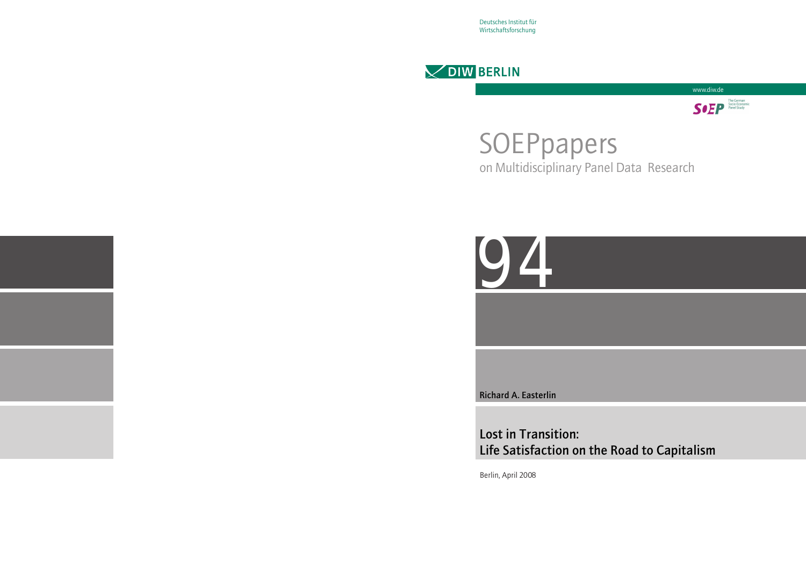Deutsches Institut für Wirtschaftsforschung





# SOEPpapers on Multidisciplinary Panel Data Research



Richard A. Easterlin

# Lost in Transition: Life Satisfaction on the Road to Capitalism

Berlin, April 2008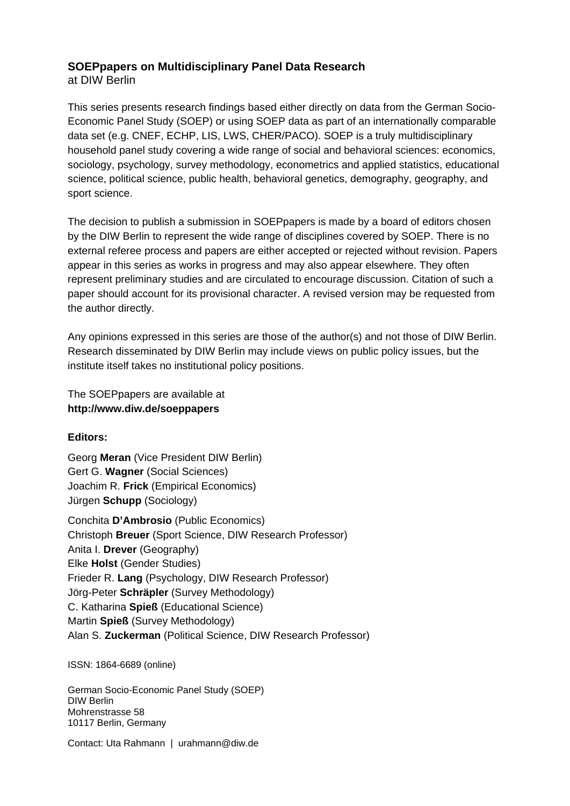# **SOEPpapers on Multidisciplinary Panel Data Research**

at DIW Berlin

This series presents research findings based either directly on data from the German Socio-Economic Panel Study (SOEP) or using SOEP data as part of an internationally comparable data set (e.g. CNEF, ECHP, LIS, LWS, CHER/PACO). SOEP is a truly multidisciplinary household panel study covering a wide range of social and behavioral sciences: economics, sociology, psychology, survey methodology, econometrics and applied statistics, educational science, political science, public health, behavioral genetics, demography, geography, and sport science.

The decision to publish a submission in SOEPpapers is made by a board of editors chosen by the DIW Berlin to represent the wide range of disciplines covered by SOEP. There is no external referee process and papers are either accepted or rejected without revision. Papers appear in this series as works in progress and may also appear elsewhere. They often represent preliminary studies and are circulated to encourage discussion. Citation of such a paper should account for its provisional character. A revised version may be requested from the author directly.

Any opinions expressed in this series are those of the author(s) and not those of DIW Berlin. Research disseminated by DIW Berlin may include views on public policy issues, but the institute itself takes no institutional policy positions.

The SOEPpapers are available at **http://www.diw.de/soeppapers** 

## **Editors:**

Georg **Meran** (Vice President DIW Berlin) Gert G. **Wagner** (Social Sciences) Joachim R. **Frick** (Empirical Economics) Jürgen **Schupp** (Sociology)

Conchita **D'Ambrosio** (Public Economics) Christoph **Breuer** (Sport Science, DIW Research Professor) Anita I. **Drever** (Geography) Elke **Holst** (Gender Studies) Frieder R. **Lang** (Psychology, DIW Research Professor) Jörg-Peter **Schräpler** (Survey Methodology) C. Katharina **Spieß** (Educational Science) Martin **Spieß** (Survey Methodology) Alan S. **Zuckerman** (Political Science, DIW Research Professor)

ISSN: 1864-6689 (online)

German Socio-Economic Panel Study (SOEP) DIW Berlin Mohrenstrasse 58 10117 Berlin, Germany

Contact: Uta Rahmann | urahmann@diw.de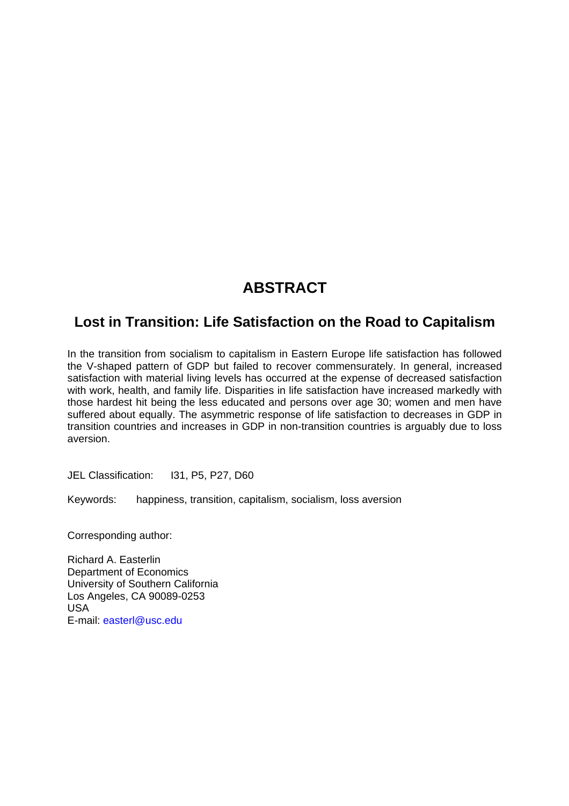# **ABSTRACT**

# **Lost in Transition: Life Satisfaction on the Road to Capitalism**

In the transition from socialism to capitalism in Eastern Europe life satisfaction has followed the V-shaped pattern of GDP but failed to recover commensurately. In general, increased satisfaction with material living levels has occurred at the expense of decreased satisfaction with work, health, and family life. Disparities in life satisfaction have increased markedly with those hardest hit being the less educated and persons over age 30; women and men have suffered about equally. The asymmetric response of life satisfaction to decreases in GDP in transition countries and increases in GDP in non-transition countries is arguably due to loss aversion.

JEL Classification: I31, P5, P27, D60

Keywords: happiness, transition, capitalism, socialism, loss aversion

Corresponding author:

Richard A. Easterlin Department of Economics University of Southern California Los Angeles, CA 90089-0253 USA E-mail: [easterl@usc.edu](mailto:easterl@usc.edu)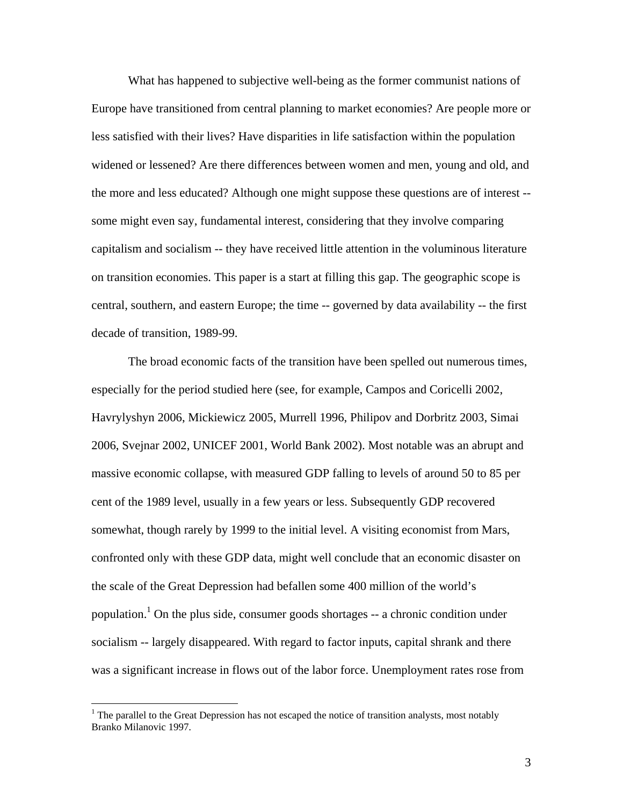What has happened to subjective well-being as the former communist nations of Europe have transitioned from central planning to market economies? Are people more or less satisfied with their lives? Have disparities in life satisfaction within the population widened or lessened? Are there differences between women and men, young and old, and the more and less educated? Although one might suppose these questions are of interest - some might even say, fundamental interest, considering that they involve comparing capitalism and socialism -- they have received little attention in the voluminous literature on transition economies. This paper is a start at filling this gap. The geographic scope is central, southern, and eastern Europe; the time -- governed by data availability -- the first decade of transition, 1989-99.

The broad economic facts of the transition have been spelled out numerous times, especially for the period studied here (see, for example, Campos and Coricelli 2002, Havrylyshyn 2006, Mickiewicz 2005, Murrell 1996, Philipov and Dorbritz 2003, Simai 2006, Svejnar 2002, UNICEF 2001, World Bank 2002). Most notable was an abrupt and massive economic collapse, with measured GDP falling to levels of around 50 to 85 per cent of the 1989 level, usually in a few years or less. Subsequently GDP recovered somewhat, though rarely by 1999 to the initial level. A visiting economist from Mars, confronted only with these GDP data, might well conclude that an economic disaster on the scale of the Great Depression had befallen some 400 million of the world's population.<sup>1</sup> On the plus side, consumer goods shortages  $-$  a chronic condition under socialism -- largely disappeared. With regard to factor inputs, capital shrank and there was a significant increase in flows out of the labor force. Unemployment rates rose from

<span id="page-3-0"></span> $<sup>1</sup>$  The parallel to the Great Depression has not escaped the notice of transition analysts, most notably</sup> Branko Milanovic 1997.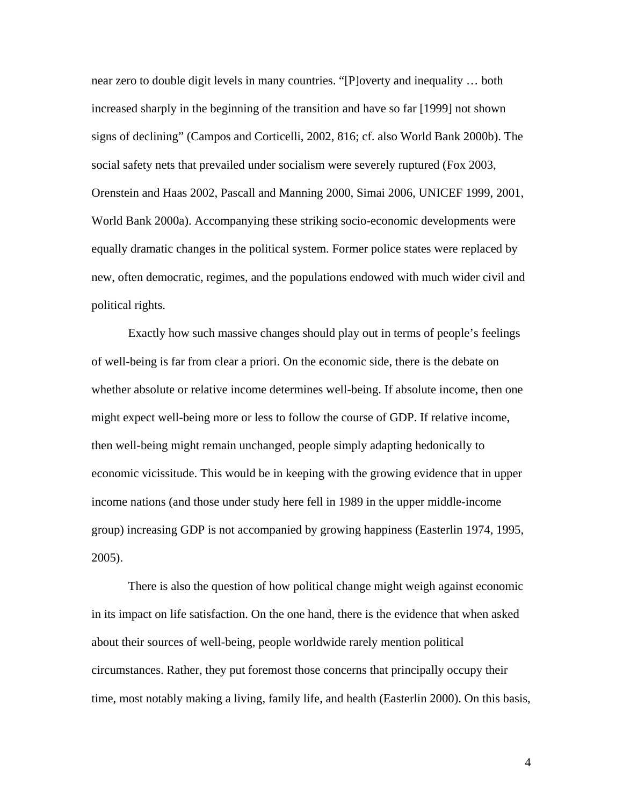near zero to double digit levels in many countries. "[P]overty and inequality … both increased sharply in the beginning of the transition and have so far [1999] not shown signs of declining" (Campos and Corticelli, 2002, 816; cf. also World Bank 2000b). The social safety nets that prevailed under socialism were severely ruptured (Fox 2003, Orenstein and Haas 2002, Pascall and Manning 2000, Simai 2006, UNICEF 1999, 2001, World Bank 2000a). Accompanying these striking socio-economic developments were equally dramatic changes in the political system. Former police states were replaced by new, often democratic, regimes, and the populations endowed with much wider civil and political rights.

Exactly how such massive changes should play out in terms of people's feelings of well-being is far from clear a priori. On the economic side, there is the debate on whether absolute or relative income determines well-being. If absolute income, then one might expect well-being more or less to follow the course of GDP. If relative income, then well-being might remain unchanged, people simply adapting hedonically to economic vicissitude. This would be in keeping with the growing evidence that in upper income nations (and those under study here fell in 1989 in the upper middle-income group) increasing GDP is not accompanied by growing happiness (Easterlin 1974, 1995, 2005).

There is also the question of how political change might weigh against economic in its impact on life satisfaction. On the one hand, there is the evidence that when asked about their sources of well-being, people worldwide rarely mention political circumstances. Rather, they put foremost those concerns that principally occupy their time, most notably making a living, family life, and health (Easterlin 2000). On this basis,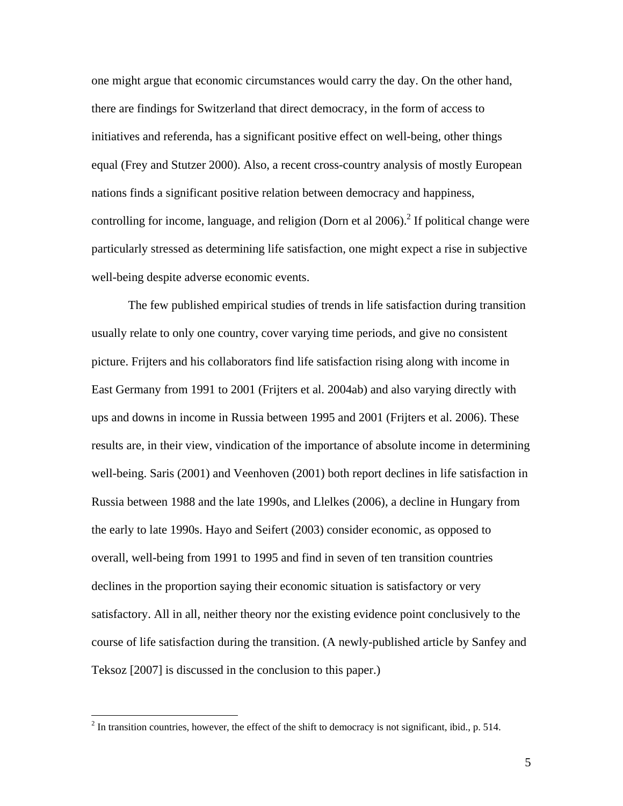one might argue that economic circumstances would carry the day. On the other hand, there are findings for Switzerland that direct democracy, in the form of access to initiatives and referenda, has a significant positive effect on well-being, other things equal (Frey and Stutzer 2000). Also, a recent cross-country analysis of mostly European nations finds a significant positive relation between democracy and happiness, controlling for income, language, and religion (Dorn et al  $2006$ ).<sup>2</sup> If political change were particularly stressed as determining life satisfaction, one might expect a rise in subjective well-being despite adverse economic events.

The few published empirical studies of trends in life satisfaction during transition usually relate to only one country, cover varying time periods, and give no consistent picture. Frijters and his collaborators find life satisfaction rising along with income in East Germany from 1991 to 2001 (Frijters et al. 2004ab) and also varying directly with ups and downs in income in Russia between 1995 and 2001 (Frijters et al. 2006). These results are, in their view, vindication of the importance of absolute income in determining well-being. Saris (2001) and Veenhoven (2001) both report declines in life satisfaction in Russia between 1988 and the late 1990s, and Llelkes (2006), a decline in Hungary from the early to late 1990s. Hayo and Seifert (2003) consider economic, as opposed to overall, well-being from 1991 to 1995 and find in seven of ten transition countries declines in the proportion saying their economic situation is satisfactory or very satisfactory. All in all, neither theory nor the existing evidence point conclusively to the course of life satisfaction during the transition. (A newly-published article by Sanfey and Teksoz [2007] is discussed in the conclusion to this paper.)

<span id="page-5-0"></span><sup>&</sup>lt;sup>2</sup> In transition countries, however, the effect of the shift to democracy is not significant, ibid., p. 514.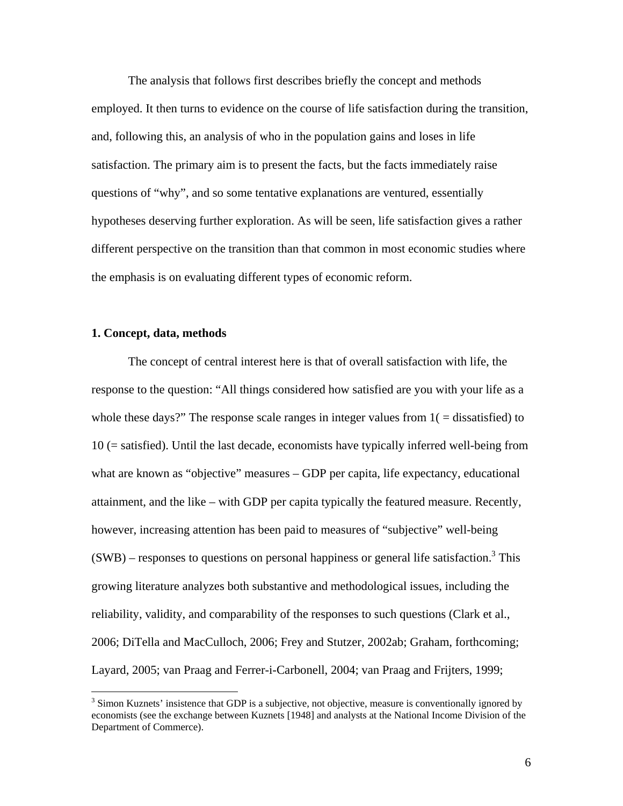The analysis that follows first describes briefly the concept and methods employed. It then turns to evidence on the course of life satisfaction during the transition, and, following this, an analysis of who in the population gains and loses in life satisfaction. The primary aim is to present the facts, but the facts immediately raise questions of "why", and so some tentative explanations are ventured, essentially hypotheses deserving further exploration. As will be seen, life satisfaction gives a rather different perspective on the transition than that common in most economic studies where the emphasis is on evaluating different types of economic reform.

#### **1. Concept, data, methods**

1

The concept of central interest here is that of overall satisfaction with life, the response to the question: "All things considered how satisfied are you with your life as a whole these days?" The response scale ranges in integer values from  $1($  = dissatisfied) to 10 (= satisfied). Until the last decade, economists have typically inferred well-being from what are known as "objective" measures – GDP per capita, life expectancy, educational attainment, and the like – with GDP per capita typically the featured measure. Recently, however, increasing attention has been paid to measures of "subjective" well-being  $(SWB)$  – responses to questions on personal happiness or general life satisfaction.<sup>[3](#page-6-0)</sup> This growing literature analyzes both substantive and methodological issues, including the reliability, validity, and comparability of the responses to such questions (Clark et al., 2006; DiTella and MacCulloch, 2006; Frey and Stutzer, 2002ab; Graham, forthcoming; Layard, 2005; van Praag and Ferrer-i-Carbonell, 2004; van Praag and Frijters, 1999;

<span id="page-6-0"></span> $3$  Simon Kuznets' insistence that GDP is a subjective, not objective, measure is conventionally ignored by economists (see the exchange between Kuznets [1948] and analysts at the National Income Division of the Department of Commerce).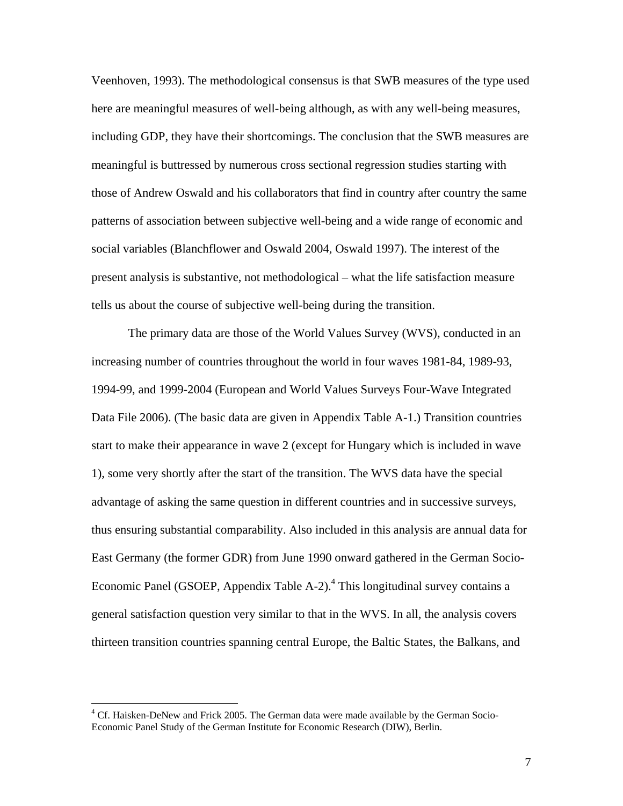Veenhoven, 1993). The methodological consensus is that SWB measures of the type used here are meaningful measures of well-being although, as with any well-being measures, including GDP, they have their shortcomings. The conclusion that the SWB measures are meaningful is buttressed by numerous cross sectional regression studies starting with those of Andrew Oswald and his collaborators that find in country after country the same patterns of association between subjective well-being and a wide range of economic and social variables (Blanchflower and Oswald 2004, Oswald 1997). The interest of the present analysis is substantive, not methodological – what the life satisfaction measure tells us about the course of subjective well-being during the transition.

The primary data are those of the World Values Survey (WVS), conducted in an increasing number of countries throughout the world in four waves 1981-84, 1989-93, 1994-99, and 1999-2004 (European and World Values Surveys Four-Wave Integrated Data File 2006). (The basic data are given in Appendix Table A-1.) Transition countries start to make their appearance in wave 2 (except for Hungary which is included in wave 1), some very shortly after the start of the transition. The WVS data have the special advantage of asking the same question in different countries and in successive surveys, thus ensuring substantial comparability. Also included in this analysis are annual data for East Germany (the former GDR) from June 1990 onward gathered in the German Socio-Economic Panel (GSOEP, Appendix Table A-2).<sup>[4](#page-7-0)</sup> This longitudinal survey contains a general satisfaction question very similar to that in the WVS. In all, the analysis covers thirteen transition countries spanning central Europe, the Baltic States, the Balkans, and

<span id="page-7-0"></span><sup>&</sup>lt;sup>4</sup> Cf. Haisken-DeNew and Frick 2005. The German data were made available by the German Socio-Economic Panel Study of the German Institute for Economic Research (DIW), Berlin.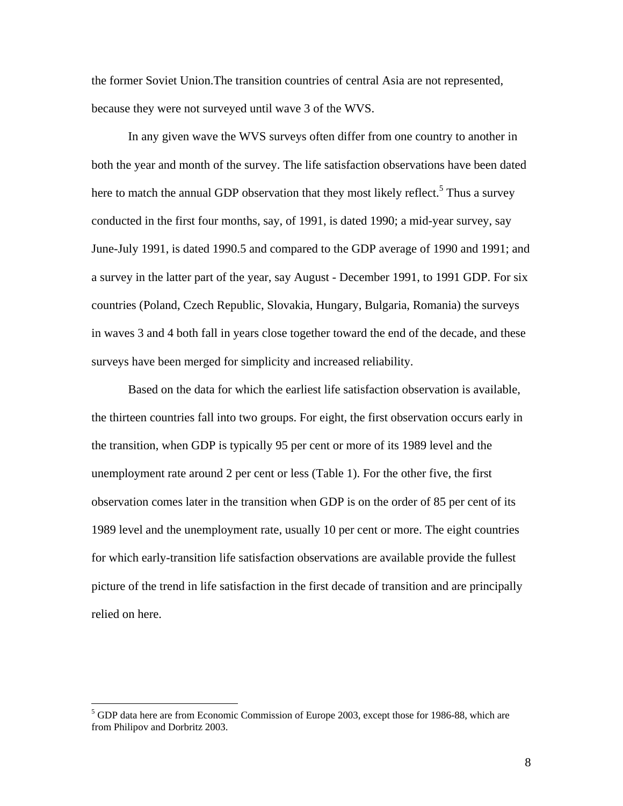the former Soviet Union.The transition countries of central Asia are not represented, because they were not surveyed until wave 3 of the WVS.

In any given wave the WVS surveys often differ from one country to another in both the year and month of the survey. The life satisfaction observations have been dated here to match the annual GDP observation that they most likely reflect.<sup>[5](#page-8-0)</sup> Thus a survey conducted in the first four months, say, of 1991, is dated 1990; a mid-year survey, say June-July 1991, is dated 1990.5 and compared to the GDP average of 1990 and 1991; and a survey in the latter part of the year, say August - December 1991, to 1991 GDP. For six countries (Poland, Czech Republic, Slovakia, Hungary, Bulgaria, Romania) the surveys in waves 3 and 4 both fall in years close together toward the end of the decade, and these surveys have been merged for simplicity and increased reliability.

Based on the data for which the earliest life satisfaction observation is available, the thirteen countries fall into two groups. For eight, the first observation occurs early in the transition, when GDP is typically 95 per cent or more of its 1989 level and the unemployment rate around 2 per cent or less (Table 1). For the other five, the first observation comes later in the transition when GDP is on the order of 85 per cent of its 1989 level and the unemployment rate, usually 10 per cent or more. The eight countries for which early-transition life satisfaction observations are available provide the fullest picture of the trend in life satisfaction in the first decade of transition and are principally relied on here.

 $\overline{a}$ 

<span id="page-8-0"></span><sup>5</sup> GDP data here are from Economic Commission of Europe 2003, except those for 1986-88, which are from Philipov and Dorbritz 2003.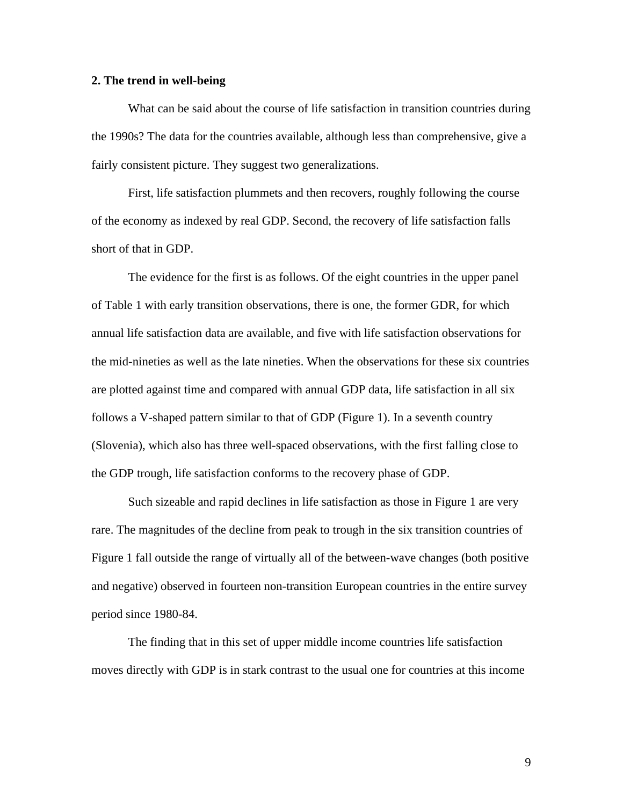#### **2. The trend in well-being**

What can be said about the course of life satisfaction in transition countries during the 1990s? The data for the countries available, although less than comprehensive, give a fairly consistent picture. They suggest two generalizations.

First, life satisfaction plummets and then recovers, roughly following the course of the economy as indexed by real GDP. Second, the recovery of life satisfaction falls short of that in GDP.

The evidence for the first is as follows. Of the eight countries in the upper panel of Table 1 with early transition observations, there is one, the former GDR, for which annual life satisfaction data are available, and five with life satisfaction observations for the mid-nineties as well as the late nineties. When the observations for these six countries are plotted against time and compared with annual GDP data, life satisfaction in all six follows a V-shaped pattern similar to that of GDP (Figure 1). In a seventh country (Slovenia), which also has three well-spaced observations, with the first falling close to the GDP trough, life satisfaction conforms to the recovery phase of GDP.

Such sizeable and rapid declines in life satisfaction as those in Figure 1 are very rare. The magnitudes of the decline from peak to trough in the six transition countries of Figure 1 fall outside the range of virtually all of the between-wave changes (both positive and negative) observed in fourteen non-transition European countries in the entire survey period since 1980-84.

The finding that in this set of upper middle income countries life satisfaction moves directly with GDP is in stark contrast to the usual one for countries at this income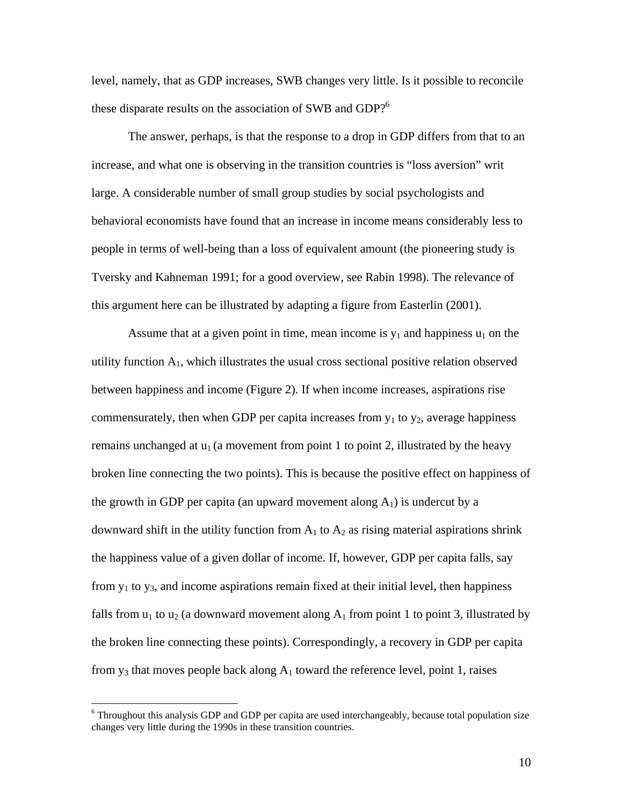level, namely, that as GDP increases, SWB changes very little. Is it possible to reconcile these disparate results on the association of SWB and GDP?<sup>6</sup>

The answer, perhaps, is that the response to a drop in GDP differs from that to an increase, and what one is observing in the transition countries is "loss aversion" writ large. A considerable number of small group studies by social psychologists and behavioral economists have found that an increase in income means considerably less to people in terms of well-being than a loss of equivalent amount (the pioneering study is Tversky and Kahneman 1991; for a good overview, see Rabin 1998). The relevance of this argument here can be illustrated by adapting a figure from Easterlin (2001).

Assume that at a given point in time, mean income is  $y_1$  and happiness  $u_1$  on the utility function  $A_1$ , which illustrates the usual cross sectional positive relation observed between happiness and income (Figure 2). If when income increases, aspirations rise commensurately, then when GDP per capita increases from  $y_1$  to  $y_2$ , average happiness remains unchanged at  $u_1$  (a movement from point 1 to point 2, illustrated by the heavy broken line connecting the two points). This is because the positive effect on happiness of the growth in GDP per capita (an upward movement along  $A_1$ ) is undercut by a downward shift in the utility function from  $A_1$  to  $A_2$  as rising material aspirations shrink the happiness value of a given dollar of income. If, however, GDP per capita falls, say from  $y_1$  to  $y_3$ , and income aspirations remain fixed at their initial level, then happiness falls from  $u_1$  to  $u_2$  (a downward movement along  $A_1$  from point 1 to point 3, illustrated by the broken line connecting these points). Correspondingly, a recovery in GDP per capita from  $y_3$  that moves people back along  $A_1$  toward the reference level, point 1, raises

 $\overline{a}$ 

<span id="page-10-0"></span><sup>&</sup>lt;sup>6</sup> Throughout this analysis GDP and GDP per capita are used interchangeably, because total population size changes very little during the 1990s in these transition countries.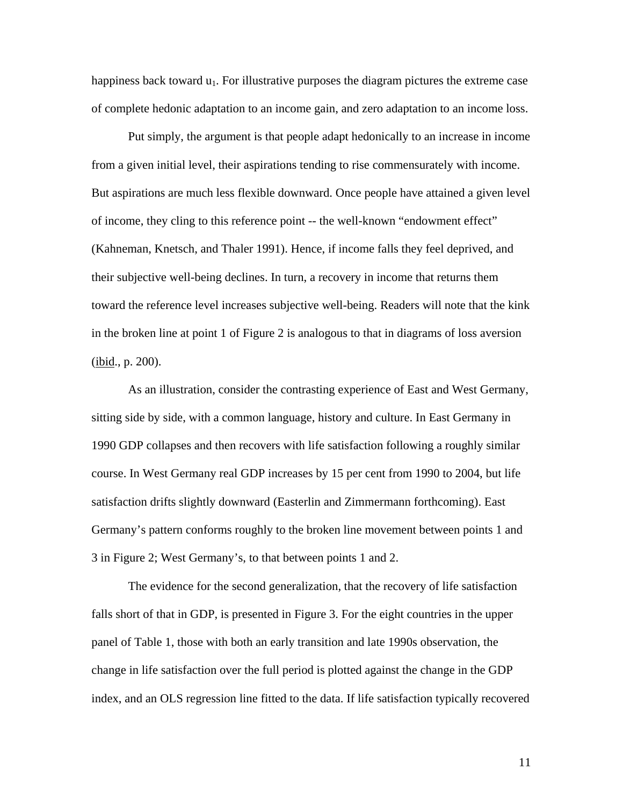happiness back toward  $u_1$ . For illustrative purposes the diagram pictures the extreme case of complete hedonic adaptation to an income gain, and zero adaptation to an income loss.

Put simply, the argument is that people adapt hedonically to an increase in income from a given initial level, their aspirations tending to rise commensurately with income. But aspirations are much less flexible downward. Once people have attained a given level of income, they cling to this reference point -- the well-known "endowment effect" (Kahneman, Knetsch, and Thaler 1991). Hence, if income falls they feel deprived, and their subjective well-being declines. In turn, a recovery in income that returns them toward the reference level increases subjective well-being. Readers will note that the kink in the broken line at point 1 of Figure 2 is analogous to that in diagrams of loss aversion (ibid., p. 200).

As an illustration, consider the contrasting experience of East and West Germany, sitting side by side, with a common language, history and culture. In East Germany in 1990 GDP collapses and then recovers with life satisfaction following a roughly similar course. In West Germany real GDP increases by 15 per cent from 1990 to 2004, but life satisfaction drifts slightly downward (Easterlin and Zimmermann forthcoming). East Germany's pattern conforms roughly to the broken line movement between points 1 and 3 in Figure 2; West Germany's, to that between points 1 and 2.

The evidence for the second generalization, that the recovery of life satisfaction falls short of that in GDP, is presented in Figure 3. For the eight countries in the upper panel of Table 1, those with both an early transition and late 1990s observation, the change in life satisfaction over the full period is plotted against the change in the GDP index, and an OLS regression line fitted to the data. If life satisfaction typically recovered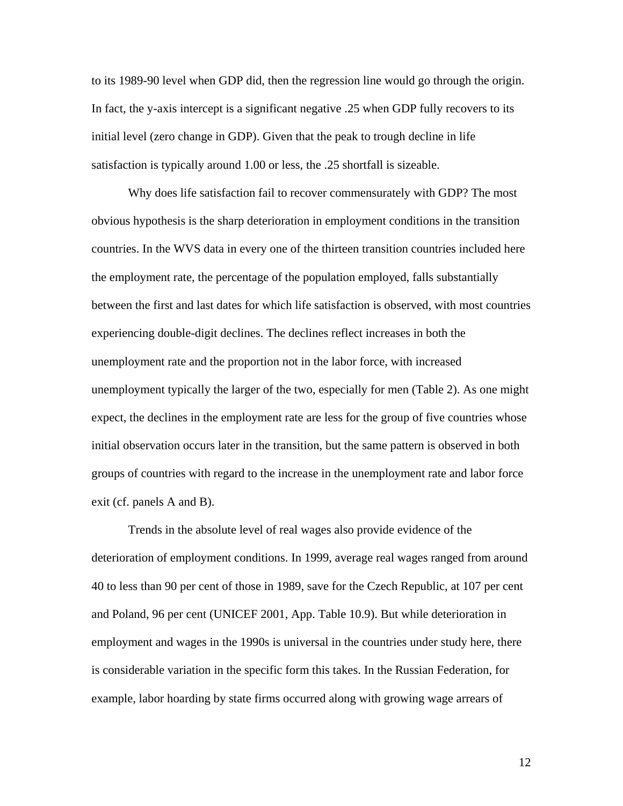to its 1989-90 level when GDP did, then the regression line would go through the origin. In fact, the y-axis intercept is a significant negative .25 when GDP fully recovers to its initial level (zero change in GDP). Given that the peak to trough decline in life satisfaction is typically around 1.00 or less, the .25 shortfall is sizeable.

Why does life satisfaction fail to recover commensurately with GDP? The most obvious hypothesis is the sharp deterioration in employment conditions in the transition countries. In the WVS data in every one of the thirteen transition countries included here the employment rate, the percentage of the population employed, falls substantially between the first and last dates for which life satisfaction is observed, with most countries experiencing double-digit declines. The declines reflect increases in both the unemployment rate and the proportion not in the labor force, with increased unemployment typically the larger of the two, especially for men (Table 2). As one might expect, the declines in the employment rate are less for the group of five countries whose initial observation occurs later in the transition, but the same pattern is observed in both groups of countries with regard to the increase in the unemployment rate and labor force exit (cf. panels A and B).

Trends in the absolute level of real wages also provide evidence of the deterioration of employment conditions. In 1999, average real wages ranged from around 40 to less than 90 per cent of those in 1989, save for the Czech Republic, at 107 per cent and Poland, 96 per cent (UNICEF 2001, App. Table 10.9). But while deterioration in employment and wages in the 1990s is universal in the countries under study here, there is considerable variation in the specific form this takes. In the Russian Federation, for example, labor hoarding by state firms occurred along with growing wage arrears of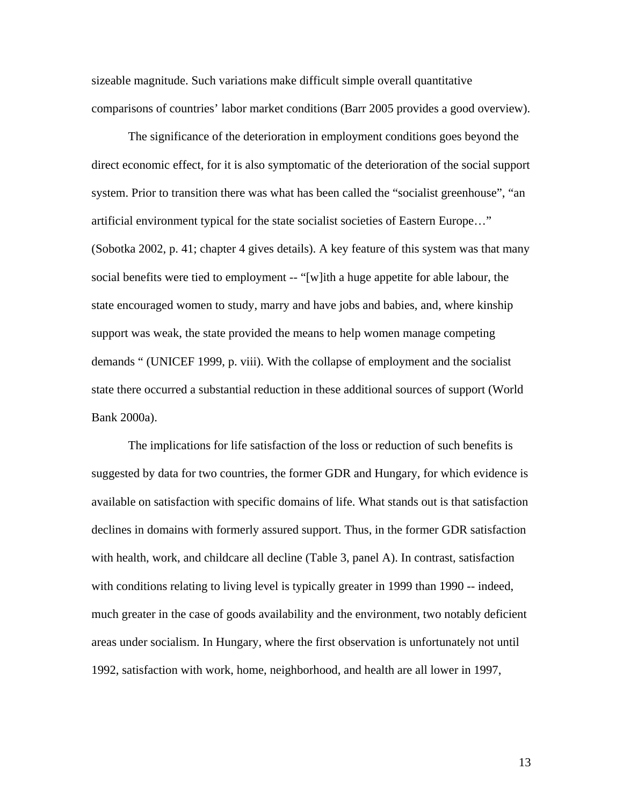sizeable magnitude. Such variations make difficult simple overall quantitative comparisons of countries' labor market conditions (Barr 2005 provides a good overview).

The significance of the deterioration in employment conditions goes beyond the direct economic effect, for it is also symptomatic of the deterioration of the social support system. Prior to transition there was what has been called the "socialist greenhouse", "an artificial environment typical for the state socialist societies of Eastern Europe…" (Sobotka 2002, p. 41; chapter 4 gives details). A key feature of this system was that many social benefits were tied to employment -- "[w]ith a huge appetite for able labour, the state encouraged women to study, marry and have jobs and babies, and, where kinship support was weak, the state provided the means to help women manage competing demands " (UNICEF 1999, p. viii). With the collapse of employment and the socialist state there occurred a substantial reduction in these additional sources of support (World Bank 2000a).

The implications for life satisfaction of the loss or reduction of such benefits is suggested by data for two countries, the former GDR and Hungary, for which evidence is available on satisfaction with specific domains of life. What stands out is that satisfaction declines in domains with formerly assured support. Thus, in the former GDR satisfaction with health, work, and childcare all decline (Table 3, panel A). In contrast, satisfaction with conditions relating to living level is typically greater in 1999 than 1990 -- indeed, much greater in the case of goods availability and the environment, two notably deficient areas under socialism. In Hungary, where the first observation is unfortunately not until 1992, satisfaction with work, home, neighborhood, and health are all lower in 1997,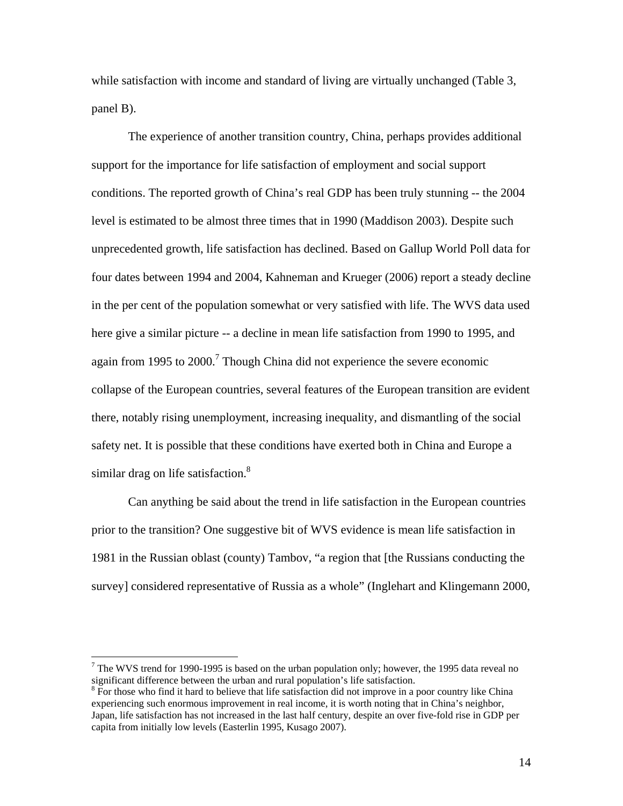while satisfaction with income and standard of living are virtually unchanged (Table 3, panel B).

The experience of another transition country, China, perhaps provides additional support for the importance for life satisfaction of employment and social support conditions. The reported growth of China's real GDP has been truly stunning -- the 2004 level is estimated to be almost three times that in 1990 (Maddison 2003). Despite such unprecedented growth, life satisfaction has declined. Based on Gallup World Poll data for four dates between 1994 and 2004, Kahneman and Krueger (2006) report a steady decline in the per cent of the population somewhat or very satisfied with life. The WVS data used here give a similar picture -- a decline in mean life satisfaction from 1990 to 1995, and again from 1995 to  $2000$ .<sup>[7](#page-14-0)</sup> Though China did not experience the severe economic collapse of the European countries, several features of the European transition are evident there, notably rising unemployment, increasing inequality, and dismantling of the social safety net. It is possible that these conditions have exerted both in China and Europe a similar drag on life satisfaction.<sup>8</sup>

Can anything be said about the trend in life satisfaction in the European countries prior to the transition? One suggestive bit of WVS evidence is mean life satisfaction in 1981 in the Russian oblast (county) Tambov, "a region that [the Russians conducting the survey] considered representative of Russia as a whole" (Inglehart and Klingemann 2000,

 $\overline{a}$ 

<span id="page-14-0"></span><sup>&</sup>lt;sup>7</sup> The WVS trend for 1990-1995 is based on the urban population only; however, the 1995 data reveal no significant difference between the urban and rural population's life satisfaction.

<span id="page-14-1"></span><sup>&</sup>lt;sup>8</sup> For those who find it hard to believe that life satisfaction did not improve in a poor country like China experiencing such enormous improvement in real income, it is worth noting that in China's neighbor, Japan, life satisfaction has not increased in the last half century, despite an over five-fold rise in GDP per capita from initially low levels (Easterlin 1995, Kusago 2007).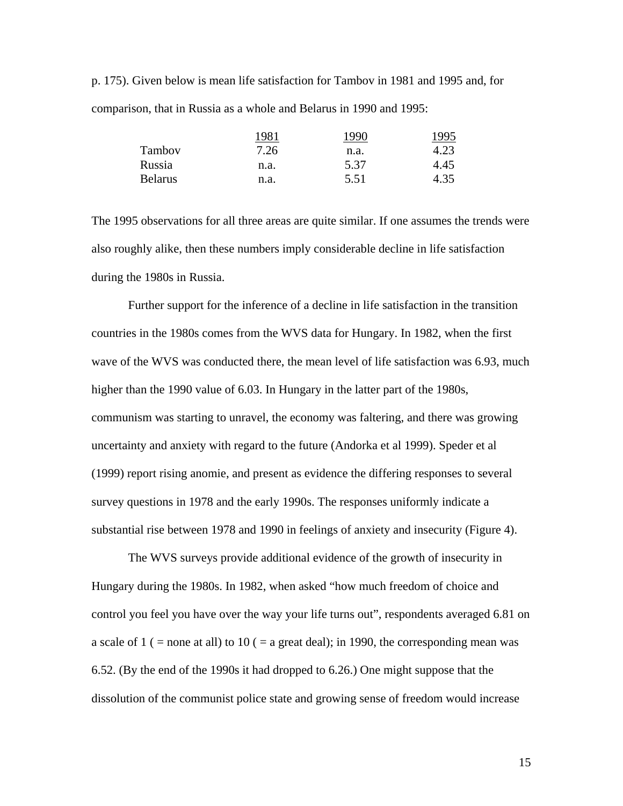p. 175). Given below is mean life satisfaction for Tambov in 1981 and 1995 and, for comparison, that in Russia as a whole and Belarus in 1990 and 1995:

|                | 1981 | 1990 | 1995 |
|----------------|------|------|------|
| Tambov         | 7.26 | n.a. | 4.23 |
| Russia         | n.a. | 5.37 | 4.45 |
| <b>Belarus</b> | n.a. | 5.51 | 4.35 |

The 1995 observations for all three areas are quite similar. If one assumes the trends were also roughly alike, then these numbers imply considerable decline in life satisfaction during the 1980s in Russia.

Further support for the inference of a decline in life satisfaction in the transition countries in the 1980s comes from the WVS data for Hungary. In 1982, when the first wave of the WVS was conducted there, the mean level of life satisfaction was 6.93, much higher than the 1990 value of 6.03. In Hungary in the latter part of the 1980s, communism was starting to unravel, the economy was faltering, and there was growing uncertainty and anxiety with regard to the future (Andorka et al 1999). Speder et al (1999) report rising anomie, and present as evidence the differing responses to several survey questions in 1978 and the early 1990s. The responses uniformly indicate a substantial rise between 1978 and 1990 in feelings of anxiety and insecurity (Figure 4).

The WVS surveys provide additional evidence of the growth of insecurity in Hungary during the 1980s. In 1982, when asked "how much freedom of choice and control you feel you have over the way your life turns out", respondents averaged 6.81 on a scale of 1 ( = none at all) to 10 ( = a great deal); in 1990, the corresponding mean was 6.52. (By the end of the 1990s it had dropped to 6.26.) One might suppose that the dissolution of the communist police state and growing sense of freedom would increase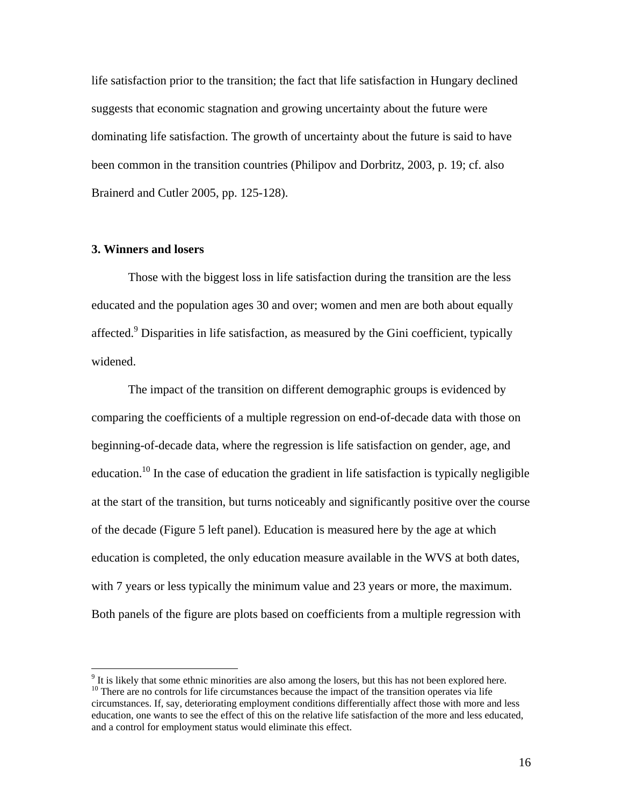life satisfaction prior to the transition; the fact that life satisfaction in Hungary declined suggests that economic stagnation and growing uncertainty about the future were dominating life satisfaction. The growth of uncertainty about the future is said to have been common in the transition countries (Philipov and Dorbritz, 2003, p. 19; cf. also Brainerd and Cutler 2005, pp. 125-128).

#### **3. Winners and losers**

 $\overline{a}$ 

Those with the biggest loss in life satisfaction during the transition are the less educated and the population ages 30 and over; women and men are both about equally affected.<sup>[9](#page-16-0)</sup> Disparities in life satisfaction, as measured by the Gini coefficient, typically widened.

The impact of the transition on different demographic groups is evidenced by comparing the coefficients of a multiple regression on end-of-decade data with those on beginning-of-decade data, where the regression is life satisfaction on gender, age, and education.<sup>10</sup> In the case of education the gradient in life satisfaction is typically negligible at the start of the transition, but turns noticeably and significantly positive over the course of the decade (Figure 5 left panel). Education is measured here by the age at which education is completed, the only education measure available in the WVS at both dates, with 7 years or less typically the minimum value and 23 years or more, the maximum. Both panels of the figure are plots based on coefficients from a multiple regression with

<span id="page-16-1"></span><span id="page-16-0"></span><sup>&</sup>lt;sup>9</sup> It is likely that some ethnic minorities are also among the losers, but this has not been explored here.  $10$  There are no controls for life circumstances because the impact of the transition operates via life circumstances. If, say, deteriorating employment conditions differentially affect those with more and less education, one wants to see the effect of this on the relative life satisfaction of the more and less educated, and a control for employment status would eliminate this effect.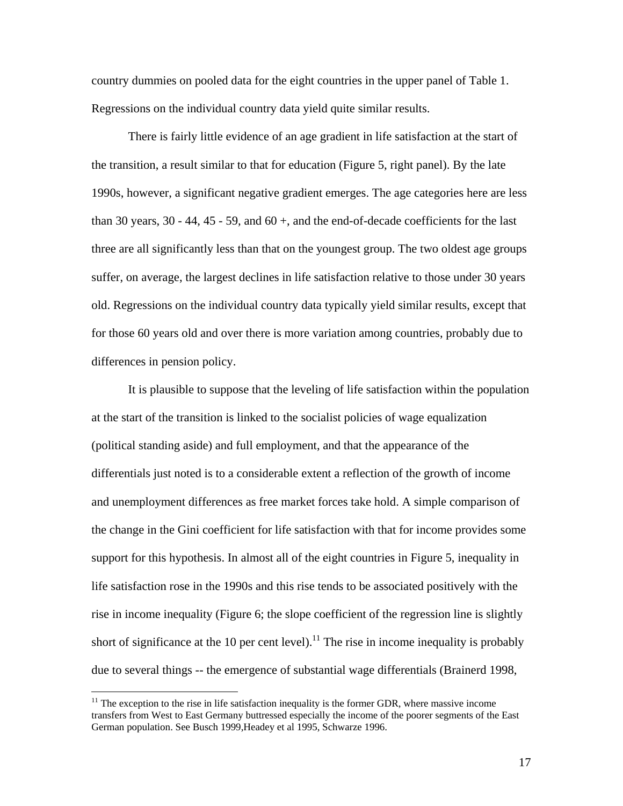country dummies on pooled data for the eight countries in the upper panel of Table 1. Regressions on the individual country data yield quite similar results.

There is fairly little evidence of an age gradient in life satisfaction at the start of the transition, a result similar to that for education (Figure 5, right panel). By the late 1990s, however, a significant negative gradient emerges. The age categories here are less than 30 years, 30 - 44, 45 - 59, and  $60 +$ , and the end-of-decade coefficients for the last three are all significantly less than that on the youngest group. The two oldest age groups suffer, on average, the largest declines in life satisfaction relative to those under 30 years old. Regressions on the individual country data typically yield similar results, except that for those 60 years old and over there is more variation among countries, probably due to differences in pension policy.

It is plausible to suppose that the leveling of life satisfaction within the population at the start of the transition is linked to the socialist policies of wage equalization (political standing aside) and full employment, and that the appearance of the differentials just noted is to a considerable extent a reflection of the growth of income and unemployment differences as free market forces take hold. A simple comparison of the change in the Gini coefficient for life satisfaction with that for income provides some support for this hypothesis. In almost all of the eight countries in Figure 5, inequality in life satisfaction rose in the 1990s and this rise tends to be associated positively with the rise in income inequality (Figure 6; the slope coefficient of the regression line is slightly short of significance at the 10 per cent level).<sup>11</sup> The rise in income inequality is probably due to several things -- the emergence of substantial wage differentials (Brainerd 1998,

 $\overline{a}$ 

<span id="page-17-0"></span> $11$  The exception to the rise in life satisfaction inequality is the former GDR, where massive income transfers from West to East Germany buttressed especially the income of the poorer segments of the East German population. See Busch 1999,Headey et al 1995, Schwarze 1996.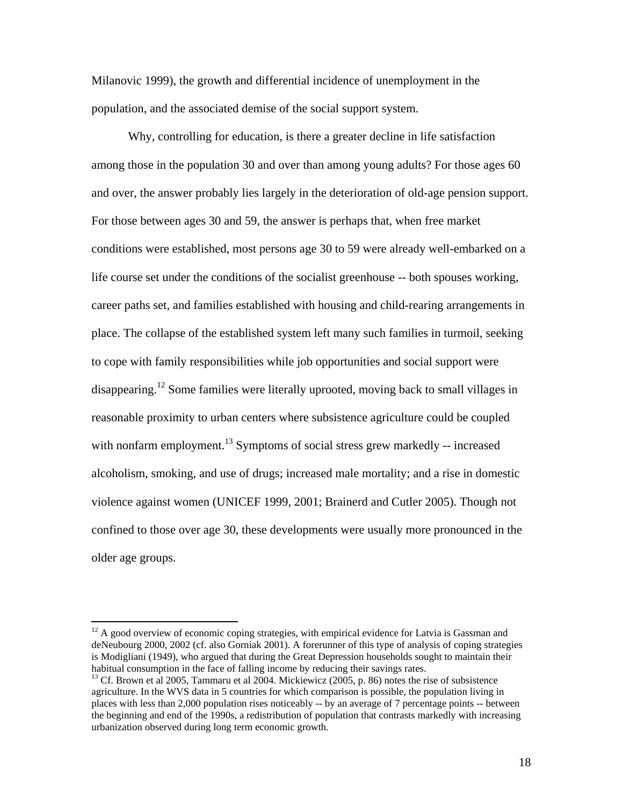Milanovic 1999), the growth and differential incidence of unemployment in the population, and the associated demise of the social support system.

Why, controlling for education, is there a greater decline in life satisfaction among those in the population 30 and over than among young adults? For those ages 60 and over, the answer probably lies largely in the deterioration of old-age pension support. For those between ages 30 and 59, the answer is perhaps that, when free market conditions were established, most persons age 30 to 59 were already well-embarked on a life course set under the conditions of the socialist greenhouse -- both spouses working, career paths set, and families established with housing and child-rearing arrangements in place. The collapse of the established system left many such families in turmoil, seeking to cope with family responsibilities while job opportunities and social support were disappearing.<sup>12</sup> Some families were literally uprooted, moving back to small villages in reasonable proximity to urban centers where subsistence agriculture could be coupled with nonfarm employment.<sup>13</sup> Symptoms of social stress grew markedly  $-$  increased alcoholism, smoking, and use of drugs; increased male mortality; and a rise in domestic violence against women (UNICEF 1999, 2001; Brainerd and Cutler 2005). Though not confined to those over age 30, these developments were usually more pronounced in the older age groups.

<span id="page-18-0"></span> $12$  A good overview of economic coping strategies, with empirical evidence for Latvia is Gassman and deNeubourg 2000, 2002 (cf. also Gorniak 2001). A forerunner of this type of analysis of coping strategies is Modigliani (1949), who argued that during the Great Depression households sought to maintain their habitual consumption in the face of falling income by reducing their savings rates.<br><sup>13</sup> Cf. Brown et al 2005, Tammaru et al 2004. Mickiewicz (2005, p. 86) notes the rise of subsistence

<span id="page-18-1"></span>agriculture. In the WVS data in 5 countries for which comparison is possible, the population living in places with less than 2,000 population rises noticeably -- by an average of 7 percentage points -- between the beginning and end of the 1990s, a redistribution of population that contrasts markedly with increasing urbanization observed during long term economic growth.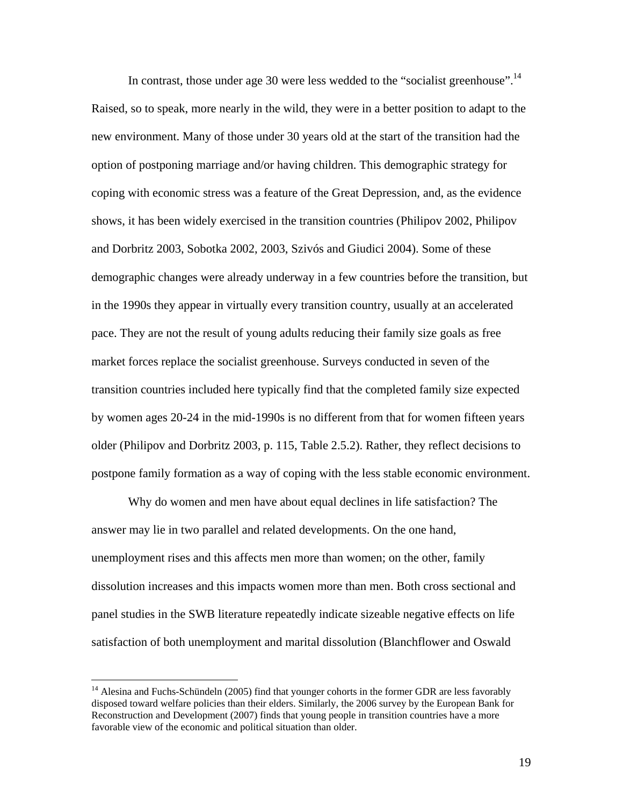In contrast, those under age 30 were less wedded to the "socialist greenhouse".<sup>[14](#page-19-0)</sup> Raised, so to speak, more nearly in the wild, they were in a better position to adapt to the new environment. Many of those under 30 years old at the start of the transition had the option of postponing marriage and/or having children. This demographic strategy for coping with economic stress was a feature of the Great Depression, and, as the evidence shows, it has been widely exercised in the transition countries (Philipov 2002, Philipov and Dorbritz 2003, Sobotka 2002, 2003, Szivós and Giudici 2004). Some of these demographic changes were already underway in a few countries before the transition, but in the 1990s they appear in virtually every transition country, usually at an accelerated pace. They are not the result of young adults reducing their family size goals as free market forces replace the socialist greenhouse. Surveys conducted in seven of the transition countries included here typically find that the completed family size expected by women ages 20-24 in the mid-1990s is no different from that for women fifteen years older (Philipov and Dorbritz 2003, p. 115, Table 2.5.2). Rather, they reflect decisions to postpone family formation as a way of coping with the less stable economic environment.

Why do women and men have about equal declines in life satisfaction? The answer may lie in two parallel and related developments. On the one hand, unemployment rises and this affects men more than women; on the other, family dissolution increases and this impacts women more than men. Both cross sectional and panel studies in the SWB literature repeatedly indicate sizeable negative effects on life satisfaction of both unemployment and marital dissolution (Blanchflower and Oswald

 $\overline{a}$ 

<span id="page-19-0"></span> $14$  Alesina and Fuchs-Schündeln (2005) find that younger cohorts in the former GDR are less favorably disposed toward welfare policies than their elders. Similarly, the 2006 survey by the European Bank for Reconstruction and Development (2007) finds that young people in transition countries have a more favorable view of the economic and political situation than older.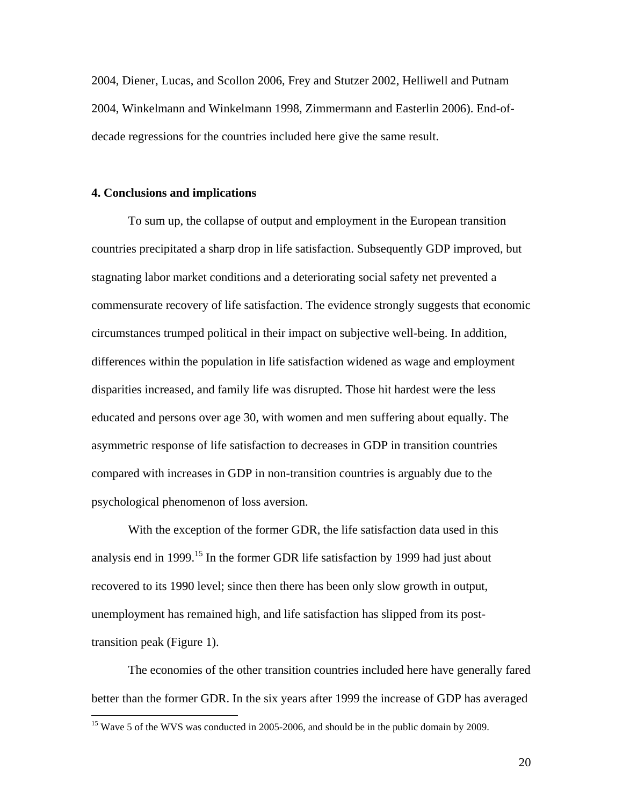2004, Diener, Lucas, and Scollon 2006, Frey and Stutzer 2002, Helliwell and Putnam 2004, Winkelmann and Winkelmann 1998, Zimmermann and Easterlin 2006). End-ofdecade regressions for the countries included here give the same result.

#### **4. Conclusions and implications**

<u>.</u>

To sum up, the collapse of output and employment in the European transition countries precipitated a sharp drop in life satisfaction. Subsequently GDP improved, but stagnating labor market conditions and a deteriorating social safety net prevented a commensurate recovery of life satisfaction. The evidence strongly suggests that economic circumstances trumped political in their impact on subjective well-being. In addition, differences within the population in life satisfaction widened as wage and employment disparities increased, and family life was disrupted. Those hit hardest were the less educated and persons over age 30, with women and men suffering about equally. The asymmetric response of life satisfaction to decreases in GDP in transition countries compared with increases in GDP in non-transition countries is arguably due to the psychological phenomenon of loss aversion.

With the exception of the former GDR, the life satisfaction data used in this analysis end in 1999.<sup>15</sup> In the former GDR life satisfaction by 1999 had just about recovered to its 1990 level; since then there has been only slow growth in output, unemployment has remained high, and life satisfaction has slipped from its posttransition peak (Figure 1).

The economies of the other transition countries included here have generally fared better than the former GDR. In the six years after 1999 the increase of GDP has averaged

<span id="page-20-0"></span><sup>&</sup>lt;sup>15</sup> Wave 5 of the WVS was conducted in 2005-2006, and should be in the public domain by 2009.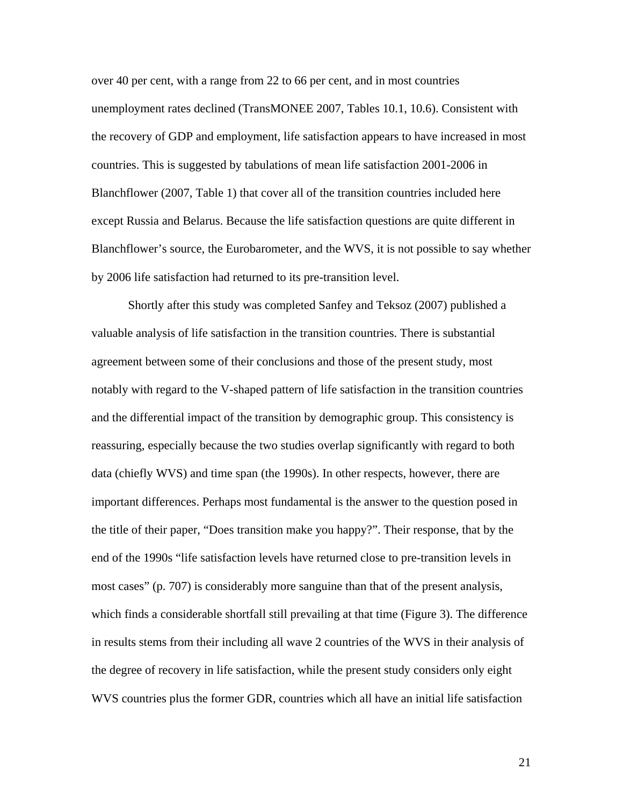over 40 per cent, with a range from 22 to 66 per cent, and in most countries unemployment rates declined (TransMONEE 2007, Tables 10.1, 10.6). Consistent with the recovery of GDP and employment, life satisfaction appears to have increased in most countries. This is suggested by tabulations of mean life satisfaction 2001-2006 in Blanchflower (2007, Table 1) that cover all of the transition countries included here except Russia and Belarus. Because the life satisfaction questions are quite different in Blanchflower's source, the Eurobarometer, and the WVS, it is not possible to say whether by 2006 life satisfaction had returned to its pre-transition level.

Shortly after this study was completed Sanfey and Teksoz (2007) published a valuable analysis of life satisfaction in the transition countries. There is substantial agreement between some of their conclusions and those of the present study, most notably with regard to the V-shaped pattern of life satisfaction in the transition countries and the differential impact of the transition by demographic group. This consistency is reassuring, especially because the two studies overlap significantly with regard to both data (chiefly WVS) and time span (the 1990s). In other respects, however, there are important differences. Perhaps most fundamental is the answer to the question posed in the title of their paper, "Does transition make you happy?". Their response, that by the end of the 1990s "life satisfaction levels have returned close to pre-transition levels in most cases" (p. 707) is considerably more sanguine than that of the present analysis, which finds a considerable shortfall still prevailing at that time (Figure 3). The difference in results stems from their including all wave 2 countries of the WVS in their analysis of the degree of recovery in life satisfaction, while the present study considers only eight WVS countries plus the former GDR, countries which all have an initial life satisfaction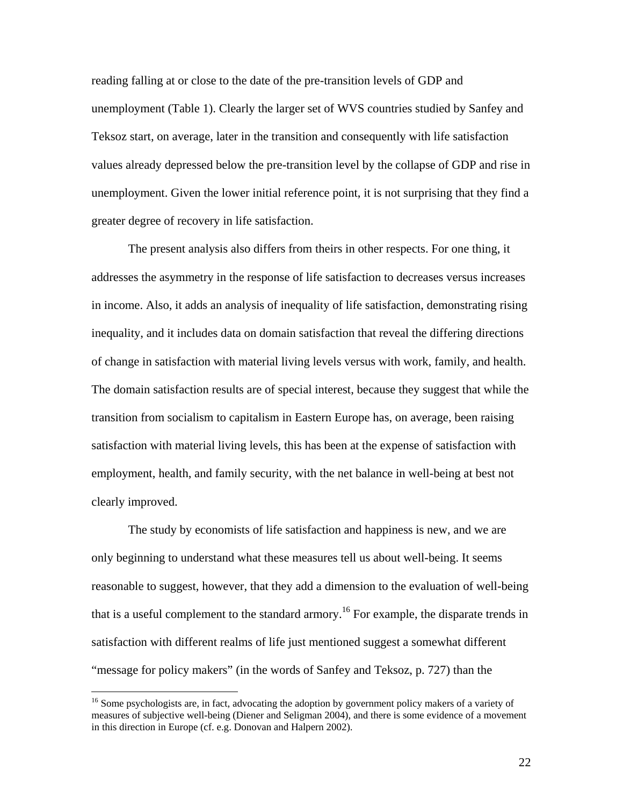reading falling at or close to the date of the pre-transition levels of GDP and unemployment (Table 1). Clearly the larger set of WVS countries studied by Sanfey and Teksoz start, on average, later in the transition and consequently with life satisfaction values already depressed below the pre-transition level by the collapse of GDP and rise in unemployment. Given the lower initial reference point, it is not surprising that they find a greater degree of recovery in life satisfaction.

The present analysis also differs from theirs in other respects. For one thing, it addresses the asymmetry in the response of life satisfaction to decreases versus increases in income. Also, it adds an analysis of inequality of life satisfaction, demonstrating rising inequality, and it includes data on domain satisfaction that reveal the differing directions of change in satisfaction with material living levels versus with work, family, and health. The domain satisfaction results are of special interest, because they suggest that while the transition from socialism to capitalism in Eastern Europe has, on average, been raising satisfaction with material living levels, this has been at the expense of satisfaction with employment, health, and family security, with the net balance in well-being at best not clearly improved.

The study by economists of life satisfaction and happiness is new, and we are only beginning to understand what these measures tell us about well-being. It seems reasonable to suggest, however, that they add a dimension to the evaluation of well-being that is a useful complement to the standard armory.<sup>16</sup> For example, the disparate trends in satisfaction with different realms of life just mentioned suggest a somewhat different "message for policy makers" (in the words of Sanfey and Teksoz, p. 727) than the

<span id="page-22-0"></span><sup>&</sup>lt;sup>16</sup> Some psychologists are, in fact, advocating the adoption by government policy makers of a variety of measures of subjective well-being (Diener and Seligman 2004), and there is some evidence of a movement in this direction in Europe (cf. e.g. Donovan and Halpern 2002).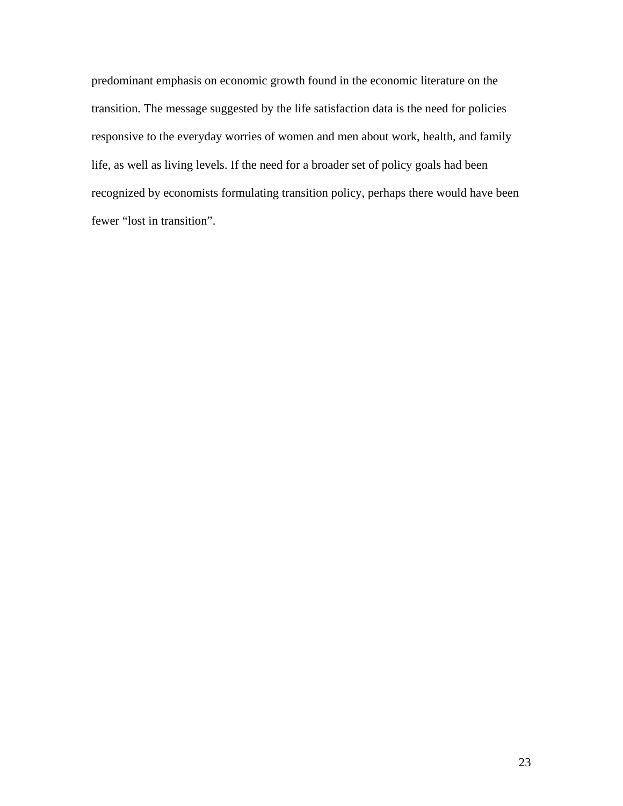predominant emphasis on economic growth found in the economic literature on the transition. The message suggested by the life satisfaction data is the need for policies responsive to the everyday worries of women and men about work, health, and family life, as well as living levels. If the need for a broader set of policy goals had been recognized by economists formulating transition policy, perhaps there would have been fewer "lost in transition".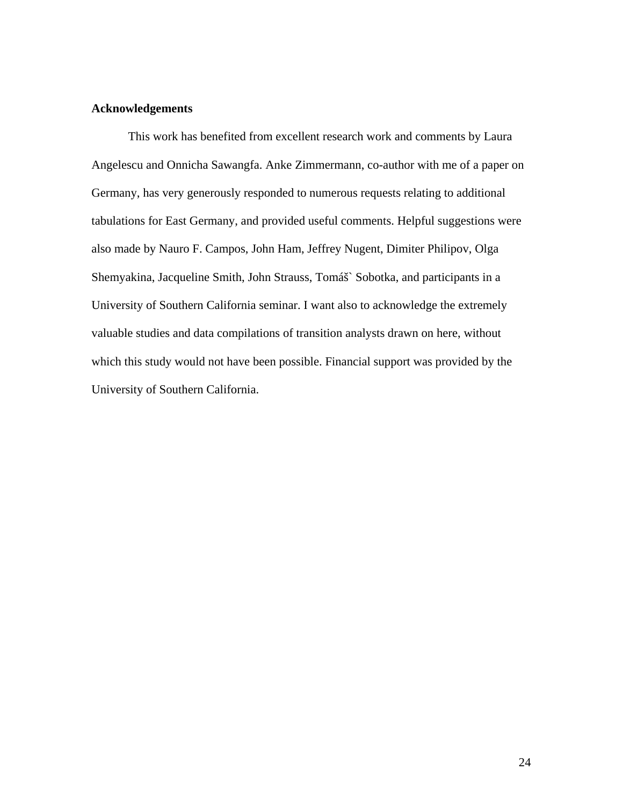#### **Acknowledgements**

This work has benefited from excellent research work and comments by Laura Angelescu and Onnicha Sawangfa. Anke Zimmermann, co-author with me of a paper on Germany, has very generously responded to numerous requests relating to additional tabulations for East Germany, and provided useful comments. Helpful suggestions were also made by Nauro F. Campos, John Ham, Jeffrey Nugent, Dimiter Philipov, Olga Shemyakina, Jacqueline Smith, John Strauss, Tomáš` Sobotka, and participants in a University of Southern California seminar. I want also to acknowledge the extremely valuable studies and data compilations of transition analysts drawn on here, without which this study would not have been possible. Financial support was provided by the University of Southern California.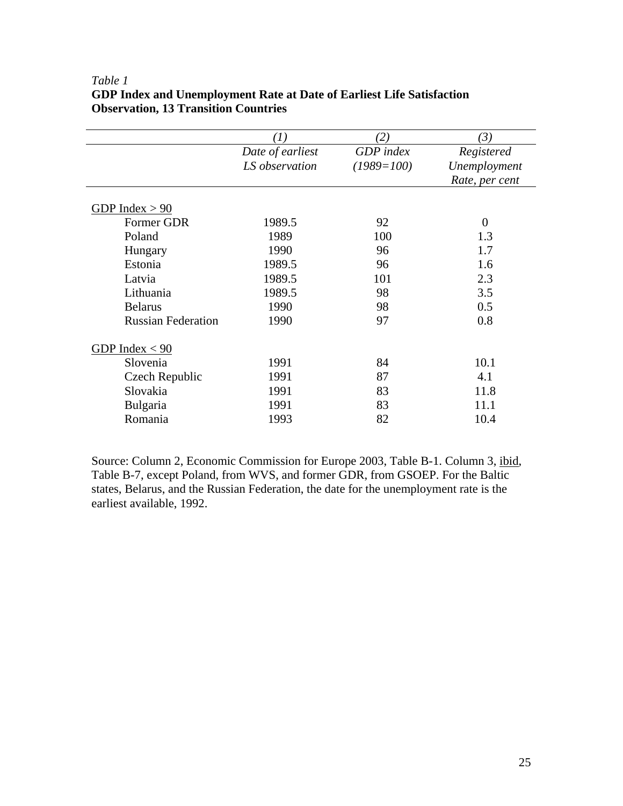|                           | $\left( 1\right)$ | $\overline{2}$ , | $\mathfrak{B}$ |
|---------------------------|-------------------|------------------|----------------|
|                           | Date of earliest  | GDP index        | Registered     |
|                           | LS observation    | $(1989=100)$     | Unemployment   |
|                           |                   |                  | Rate, per cent |
|                           |                   |                  |                |
| GDP Index $> 90$          |                   |                  |                |
| Former GDR                | 1989.5            | 92               | $\theta$       |
| Poland                    | 1989              | 100              | 1.3            |
| Hungary                   | 1990              | 96               | 1.7            |
| Estonia                   | 1989.5            | 96               | 1.6            |
| Latvia                    | 1989.5            | 101              | 2.3            |
| Lithuania                 | 1989.5            | 98               | 3.5            |
| <b>Belarus</b>            | 1990              | 98               | 0.5            |
| <b>Russian Federation</b> | 1990              | 97               | 0.8            |
| GDP Index $< 90$          |                   |                  |                |
| Slovenia                  | 1991              | 84               | 10.1           |
| Czech Republic            | 1991              | 87               | 4.1            |
| Slovakia                  | 1991              | 83               | 11.8           |
| Bulgaria                  | 1991              | 83               | 11.1           |
| Romania                   | 1993              | 82               | 10.4           |
|                           |                   |                  |                |

#### *Table 1*  **GDP Index and Unemployment Rate at Date of Earliest Life Satisfaction Observation, 13 Transition Countries**

Source: Column 2, Economic Commission for Europe 2003, Table B-1. Column 3, ibid, Table B-7, except Poland, from WVS, and former GDR, from GSOEP. For the Baltic states, Belarus, and the Russian Federation, the date for the unemployment rate is the earliest available, 1992.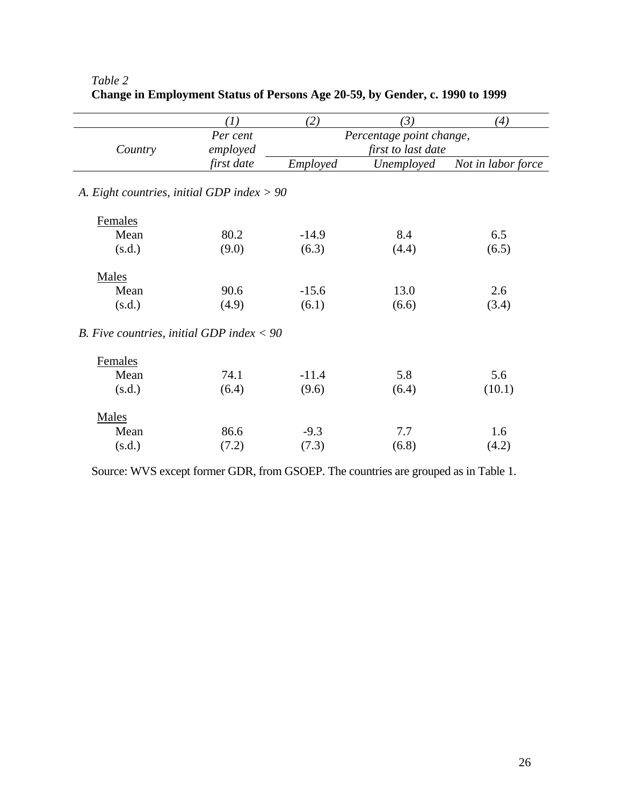|                                              | (I)        | (2)                      | (3)                | (4)                |  |  |
|----------------------------------------------|------------|--------------------------|--------------------|--------------------|--|--|
|                                              | Per cent   | Percentage point change, |                    |                    |  |  |
| Country                                      | employed   |                          | first to last date |                    |  |  |
|                                              | first date | Employed                 | Unemployed         | Not in labor force |  |  |
| A. Eight countries, initial GDP index $> 90$ |            |                          |                    |                    |  |  |
| Females                                      |            |                          |                    |                    |  |  |
| Mean                                         | 80.2       | $-14.9$                  | 8.4                | 6.5                |  |  |
| (s.d.)                                       | (9.0)      | (6.3)                    | (4.4)              | (6.5)              |  |  |
| Males                                        |            |                          |                    |                    |  |  |
| Mean                                         | 90.6       | $-15.6$                  | 13.0               | 2.6                |  |  |
| (s.d.)                                       | (4.9)      | (6.1)                    | (6.6)              | (3.4)              |  |  |
| B. Five countries, initial GDP index $< 90$  |            |                          |                    |                    |  |  |
| Females                                      |            |                          |                    |                    |  |  |
| Mean                                         | 74.1       | $-11.4$                  | 5.8                | 5.6                |  |  |
| (s.d.)                                       | (6.4)      | (9.6)                    | (6.4)              | (10.1)             |  |  |
| Males                                        |            |                          |                    |                    |  |  |
| Mean                                         | 86.6       | $-9.3$                   | 7.7                | 1.6                |  |  |
| (s.d.)                                       | (7.2)      | (7.3)                    | (6.8)              | (4.2)              |  |  |

# *Table 2*  **Change in Employment Status of Persons Age 20-59, by Gender, c. 1990 to 1999**

Source: WVS except former GDR, from GSOEP. The countries are grouped as in Table 1.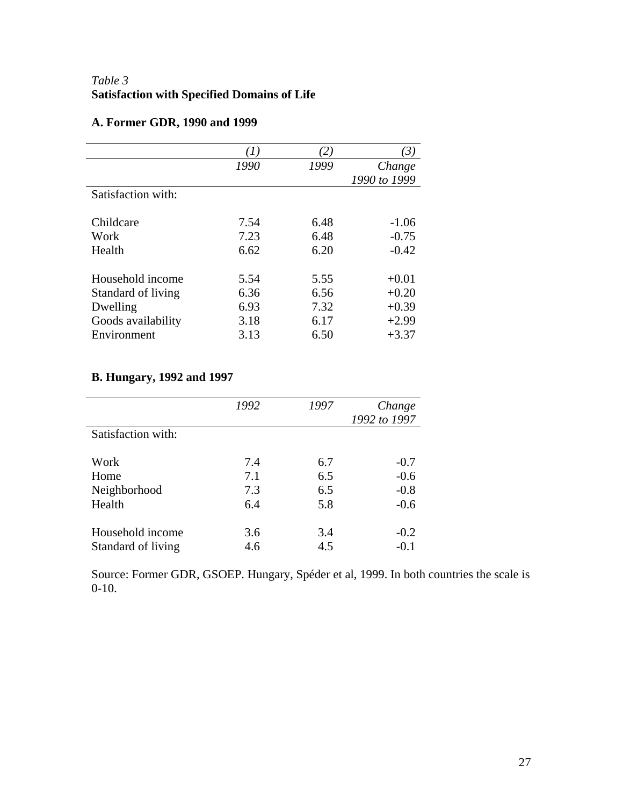# *Table 3*  **Satisfaction with Specified Domains of Life**

# **A. Former GDR, 1990 and 1999**

|      |              | 3)                                 |
|------|--------------|------------------------------------|
| 1990 |              | Change                             |
|      |              | 1990 to 1999                       |
|      |              |                                    |
|      |              | $-1.06$                            |
|      |              |                                    |
|      |              | $-0.75$                            |
| 6.62 |              | $-0.42$                            |
|      |              |                                    |
| 5.54 | 5.55         | $+0.01$                            |
| 6.36 | 6.56         | $+0.20$                            |
| 6.93 | 7.32         | $+0.39$                            |
| 3.18 | 6.17         | $+2.99$                            |
| 3.13 | 6.50         | $+3.37$                            |
|      | 7.54<br>7.23 | 2)<br>1999<br>6.48<br>6.48<br>6.20 |

# **B. Hungary, 1992 and 1997**

|                    | 1992 | 1997 | Change<br>1992 to 1997 |
|--------------------|------|------|------------------------|
| Satisfaction with: |      |      |                        |
| Work               | 7.4  | 6.7  | $-0.7$                 |
| Home               | 7.1  | 6.5  | $-0.6$                 |
| Neighborhood       | 7.3  | 6.5  | $-0.8$                 |
| Health             | 6.4  | 5.8  | $-0.6$                 |
| Household income   | 3.6  | 3.4  | $-0.2$                 |
| Standard of living | 4.6  | 4.5  | $-0.1$                 |

Source: Former GDR, GSOEP. Hungary, Spéder et al, 1999. In both countries the scale is 0-10.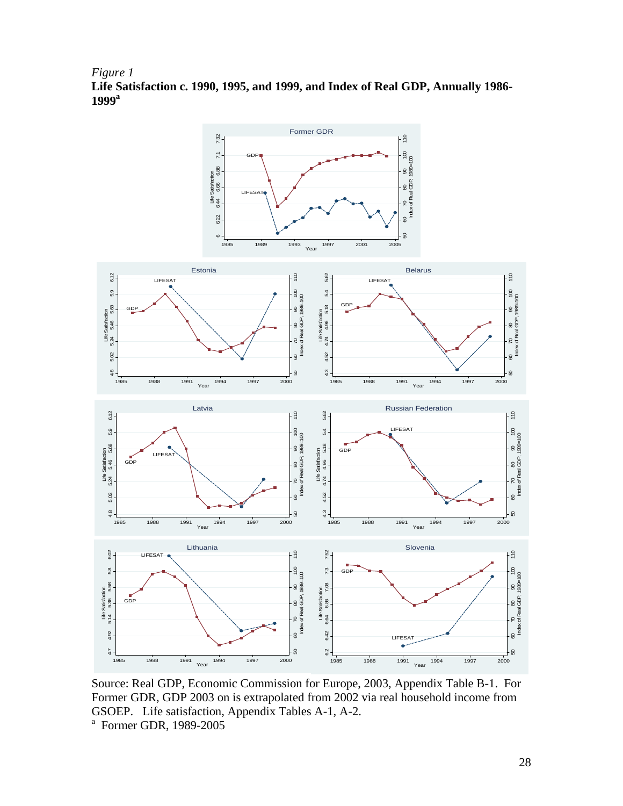*Figure 1* **Life Satisfaction c. 1990, 1995, and 1999, and Index of Real GDP, Annually 1986- 1999a** 



Source: Real GDP, Economic Commission for Europe, 2003, Appendix Table B-1. For Former GDR, GDP 2003 on is extrapolated from 2002 via real household income from GSOEP. Life satisfaction, Appendix Tables A-1, A-2.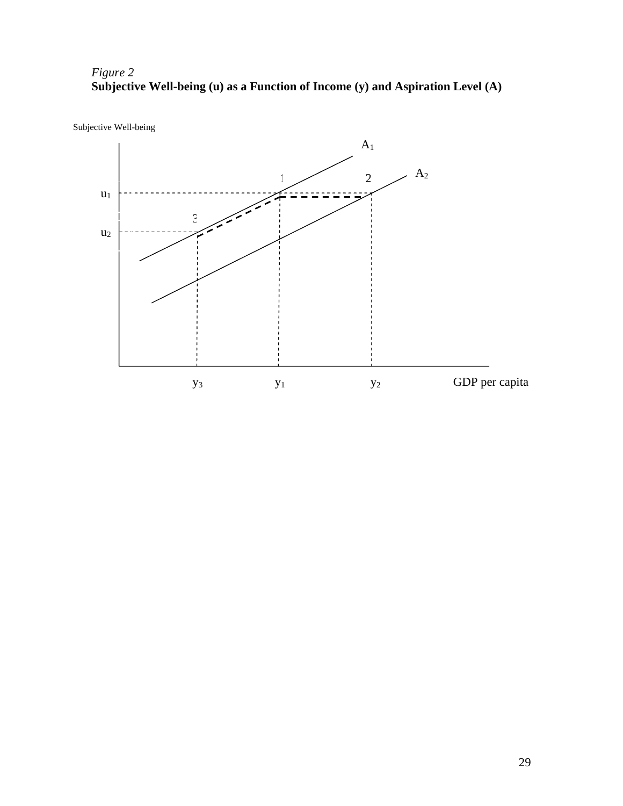*Figure 2*  **Subjective Well-being (u) as a Function of Income (y) and Aspiration Level (A)** 



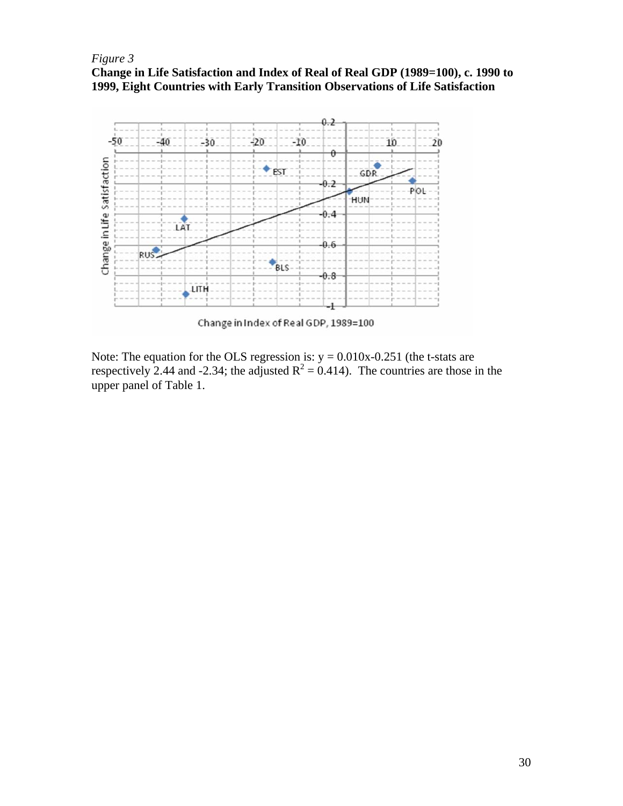## *Figure 3*  **Change in Life Satisfaction and Index of Real of Real GDP (1989=100), c. 1990 to 1999, Eight Countries with Early Transition Observations of Life Satisfaction**



Change in Index of Real GDP, 1989=100

Note: The equation for the OLS regression is:  $y = 0.010x-0.251$  (the t-stats are respectively 2.44 and -2.34; the adjusted  $R^2 = 0.414$ ). The countries are those in the upper panel of Table 1.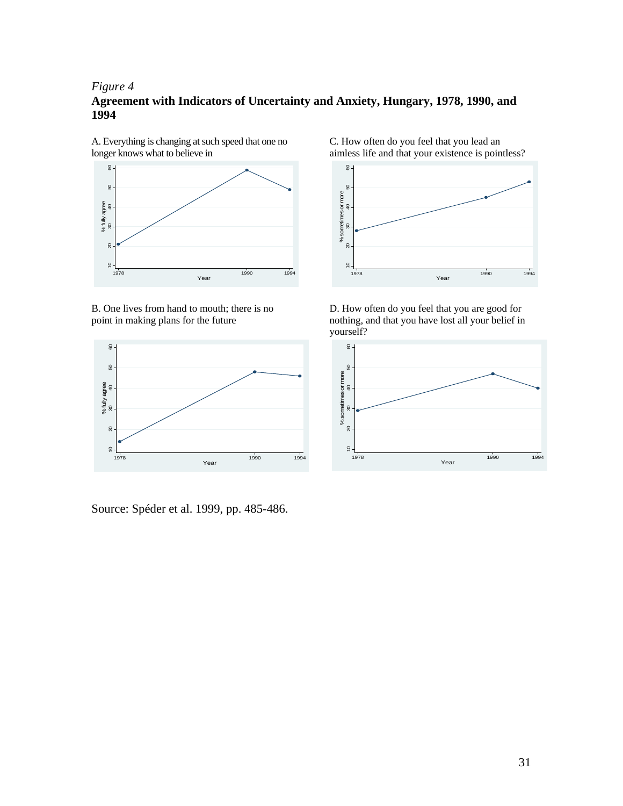#### *Figure 4*

## **Agreement with Indicators of Uncertainty and Anxiety, Hungary, 1978, 1990, and 1994**



A. Everything is changing at such speed that one no longer knows what to believe in

B. One lives from hand to mouth; there is no point in making plans for the future



Source: Spéder et al. 1999, pp. 485-486.

C. How often do you feel that you lead an aimless life and that your existence is pointless?



D. How often do you feel that you are good for nothing, and that you have lost all your belief in yourself?

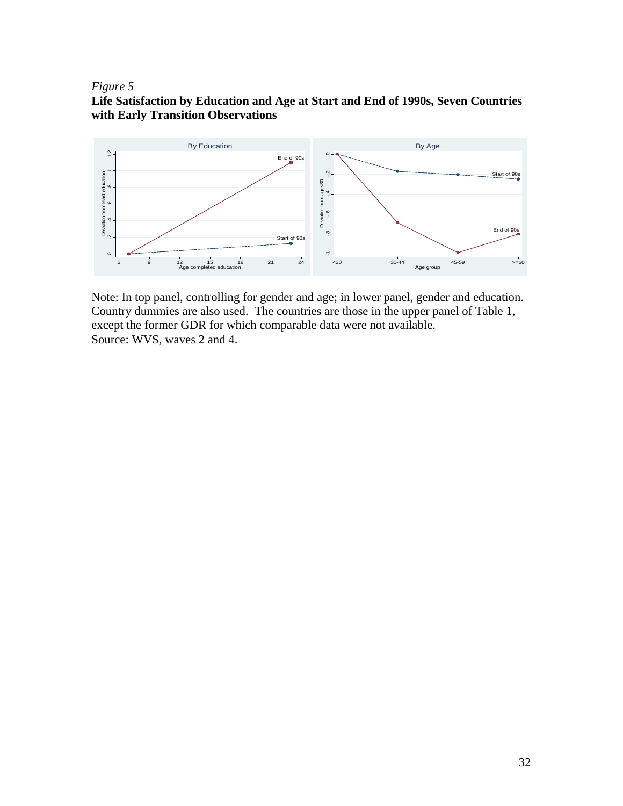#### *Figure* 5

# **faction by Education and Age at Start and End of 1990s, Seven Countries Life Satis with Early Transition Observations**



Note: In top panel, controlling for gender and age; in lower panel, gender and education. Country dummies are also used. The countries are those in the upper panel of Table 1, except the former GDR for which comparable data were not available. Source: WVS, waves 2 and 4.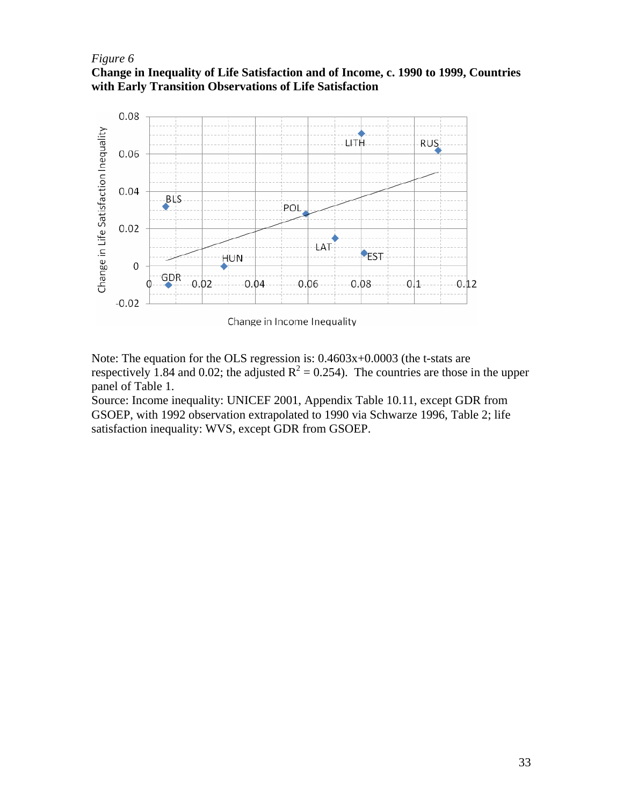#### *Figure* 6

**Inequality of Life Satisfaction and of Income, c. 1990 to 1999, Countries Change in with Early Transition Observations of Life Satisfaction** 



Note: The equation for the OLS regression is:  $0.4603x+0.0003$  (the t-stats are respectively 1.84 and 0.02; the adjusted  $R^2 = 0.254$ ). The countries are those in the upper panel of Table 1.

Source: Income inequality: UNICEF 2001, Appendix Table 10.11, except GDR from GSOEP, with 1992 observation extrapolated to 1990 via Schwarze 1996, Table 2; life satisfaction inequality: WVS, except GDR from GSOEP.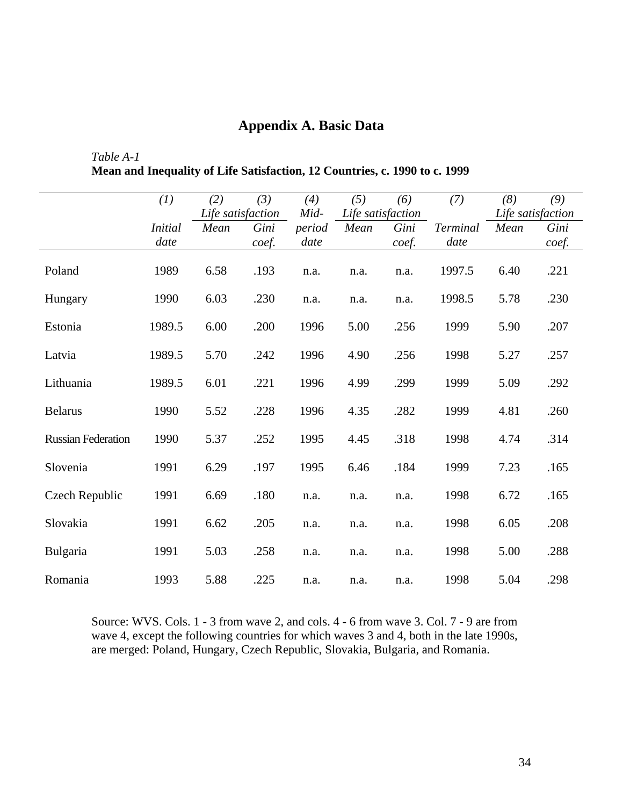# **Appendix A. Basic Data**

#### *Table A-1*  **Inequality of Life Satisfaction, 12 Countries, c. 1990 to c. 1999 Mean and**

|                           | (1)                    | (2)                       | (3)           | (4)                    | (5)                       | (6)           | (7)                     | (8)  | (9)                                |
|---------------------------|------------------------|---------------------------|---------------|------------------------|---------------------------|---------------|-------------------------|------|------------------------------------|
|                           | <i>Initial</i><br>date | Life satisfaction<br>Mean | Gini<br>coef. | Mid-<br>period<br>date | Life satisfaction<br>Mean | Gini<br>coef. | <b>Terminal</b><br>date | Mean | Life satisfaction<br>Gini<br>coef. |
| Poland                    | 1989                   | 6.58                      | .193          | n.a.                   | n.a.                      | n.a.          | 1997.5                  | 6.40 | .221                               |
| Hungary                   | 1990                   | 6.03                      | .230          | n.a.                   | n.a.                      | n.a.          | 1998.5                  | 5.78 | .230                               |
| Estonia                   | 1989.5                 | 6.00                      | .200          | 1996                   | 5.00                      | .256          | 1999                    | 5.90 | .207                               |
| Latvia                    | 1989.5                 | 5.70                      | .242          | 1996                   | 4.90                      | .256          | 1998                    | 5.27 | .257                               |
| Lithuania                 | 1989.5                 | 6.01                      | .221          | 1996                   | 4.99                      | .299          | 1999                    | 5.09 | .292                               |
| <b>Belarus</b>            | 1990                   | 5.52                      | .228          | 1996                   | 4.35                      | .282          | 1999                    | 4.81 | .260                               |
| <b>Russian Federation</b> | 1990                   | 5.37                      | .252          | 1995                   | 4.45                      | .318          | 1998                    | 4.74 | .314                               |
| Slovenia                  | 1991                   | 6.29                      | .197          | 1995                   | 6.46                      | .184          | 1999                    | 7.23 | .165                               |
| Czech Republic            | 1991                   | 6.69                      | .180          | n.a.                   | n.a.                      | n.a.          | 1998                    | 6.72 | .165                               |
| Slovakia                  | 1991                   | 6.62                      | .205          | n.a.                   | n.a.                      | n.a.          | 1998                    | 6.05 | .208                               |
| Bulgaria                  | 1991                   | 5.03                      | .258          | n.a.                   | n.a.                      | n.a.          | 1998                    | 5.00 | .288                               |
| Romania                   | 1993                   | 5.88                      | .225          | n.a.                   | n.a.                      | n.a.          | 1998                    | 5.04 | .298                               |

Source: WVS. Cols. 1 - 3 from wave 2, and cols. 4 - 6 from wave 3. Col. 7 - 9 are from wave 4, except the following countries for which waves 3 and 4, both in the late 1990s, are merged: Poland, Hungary, Czech Republic, Slovakia, Bulgaria, and Romania.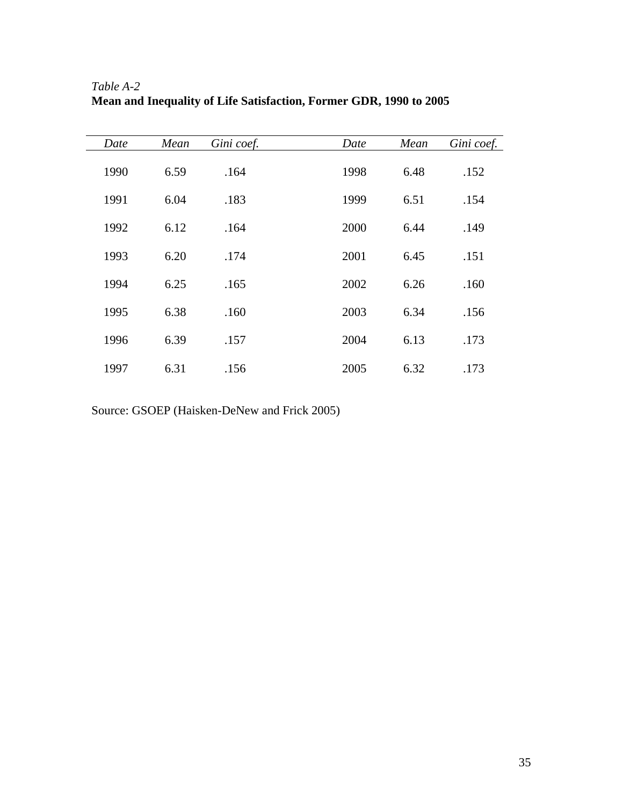| Date | Mean | Gini coef. | Date | Mean | Gini coef. |
|------|------|------------|------|------|------------|
| 1990 | 6.59 | .164       | 1998 | 6.48 | .152       |
| 1991 | 6.04 | .183       | 1999 | 6.51 | .154       |
| 1992 | 6.12 | .164       | 2000 | 6.44 | .149       |
| 1993 | 6.20 | .174       | 2001 | 6.45 | .151       |
| 1994 | 6.25 | .165       | 2002 | 6.26 | .160       |
| 1995 | 6.38 | .160       | 2003 | 6.34 | .156       |
| 1996 | 6.39 | .157       | 2004 | 6.13 | .173       |
| 1997 | 6.31 | .156       | 2005 | 6.32 | .173       |

*Table A-2*  **Mean and Inequality of Life Satisfaction, Former GDR, 1990 to 2005** 

Source: GSOEP (Haisken-DeNew and Frick 2005)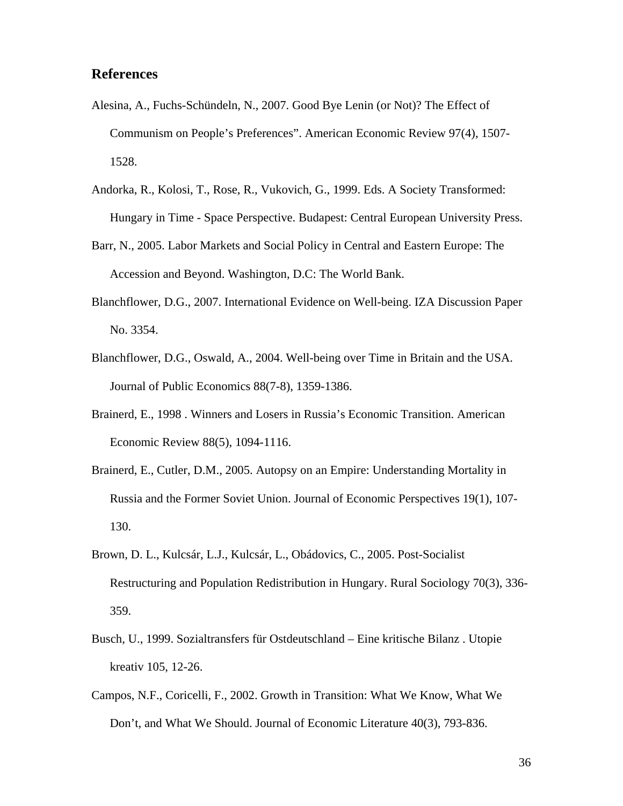## **References**

- Alesina, A., Fuchs-Schündeln, N., 2007. Good Bye Lenin (or Not)? The Effect of Communism on People's Preferences". American Economic Review 97(4), 1507- 1528.
- Andorka, R., Kolosi, T., Rose, R., Vukovich, G., 1999. Eds. A Society Transformed: Hungary in Time - Space Perspective. Budapest: Central European University Press.
- Barr, N., 2005. Labor Markets and Social Policy in Central and Eastern Europe: The Accession and Beyond. Washington, D.C: The World Bank.
- Blanchflower, D.G., 2007. International Evidence on Well-being. IZA Discussion Paper No. 3354.
- Blanchflower, D.G., Oswald, A., 2004. Well-being over Time in Britain and the USA. Journal of Public Economics 88(7-8), 1359-1386.
- Brainerd, E., 1998 . Winners and Losers in Russia's Economic Transition. American Economic Review 88(5), 1094-1116.
- Brainerd, E., Cutler, D.M., 2005. Autopsy on an Empire: Understanding Mortality in Russia and the Former Soviet Union. Journal of Economic Perspectives 19(1), 107- 130.
- Brown, D. L., Kulcsár, L.J., Kulcsár, L., Obádovics, C., 2005. Post-Socialist Restructuring and Population Redistribution in Hungary. Rural Sociology 70(3), 336- 359.
- Busch, U., 1999. Sozialtransfers für Ostdeutschland Eine kritische Bilanz . Utopie kreativ 105, 12-26.
- Campos, N.F., Coricelli, F., 2002. Growth in Transition: What We Know, What We Don't, and What We Should. Journal of Economic Literature 40(3), 793-836.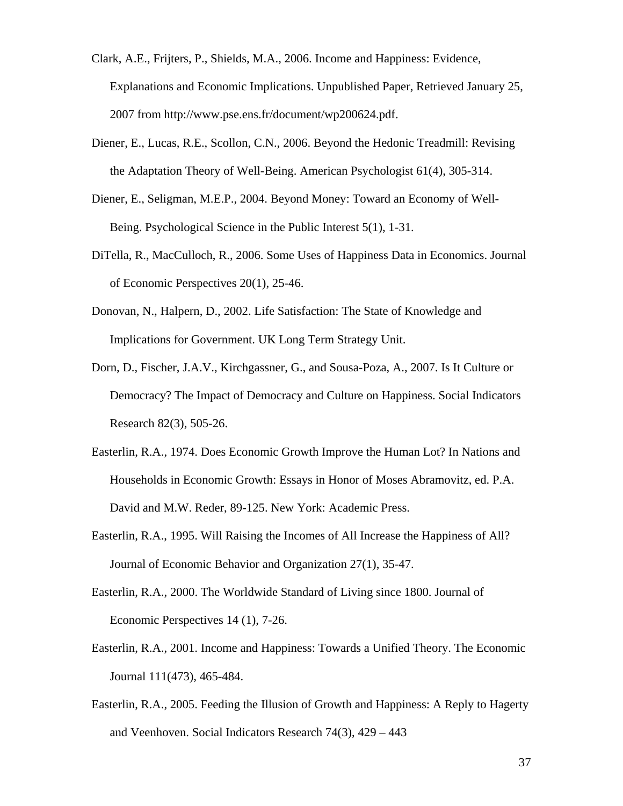- Clark, A.E., Frijters, P., Shields, M.A., 2006. Income and Happiness: Evidence, Explanations and Economic Implications. Unpublished Paper, Retrieved January 25, 2007 from http://www.pse.ens.fr/document/wp200624.pdf.
- Diener, E., Lucas, R.E., Scollon, C.N., 2006. Beyond the Hedonic Treadmill: Revising the Adaptation Theory of Well-Being. American Psychologist 61(4), 305-314.
- Diener, E., Seligman, M.E.P., 2004. Beyond Money: Toward an Economy of Well-Being. Psychological Science in the Public Interest 5(1), 1-31.
- DiTella, R., MacCulloch, R., 2006. Some Uses of Happiness Data in Economics. Journal of Economic Perspectives 20(1), 25-46.
- Donovan, N., Halpern, D., 2002. Life Satisfaction: The State of Knowledge and Implications for Government. UK Long Term Strategy Unit.
- Dorn, D., Fischer, J.A.V., Kirchgassner, G., and Sousa-Poza, A., 2007. Is It Culture or Democracy? The Impact of Democracy and Culture on Happiness. Social Indicators Research 82(3), 505-26.
- Easterlin, R.A., 1974. Does Economic Growth Improve the Human Lot? In Nations and Households in Economic Growth: Essays in Honor of Moses Abramovitz, ed. P.A. David and M.W. Reder, 89-125. New York: Academic Press.
- Easterlin, R.A., 1995. Will Raising the Incomes of All Increase the Happiness of All? Journal of Economic Behavior and Organization 27(1), 35-47.
- Easterlin, R.A., 2000. The Worldwide Standard of Living since 1800. Journal of Economic Perspectives 14 (1), 7-26.
- Easterlin, R.A., 2001. Income and Happiness: Towards a Unified Theory. The Economic Journal 111(473), 465-484.
- Easterlin, R.A., 2005. Feeding the Illusion of Growth and Happiness: A Reply to Hagerty and Veenhoven. Social Indicators Research 74(3), 429 – 443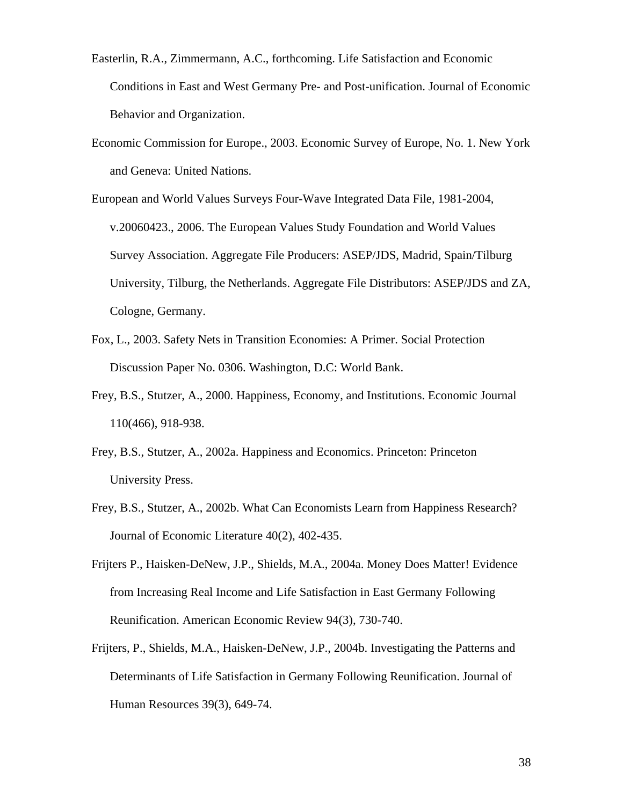- Easterlin, R.A., Zimmermann, A.C., forthcoming. Life Satisfaction and Economic Conditions in East and West Germany Pre- and Post-unification. Journal of Economic Behavior and Organization.
- Economic Commission for Europe., 2003. Economic Survey of Europe, No. 1. New York and Geneva: United Nations.
- European and World Values Surveys Four-Wave Integrated Data File, 1981-2004, v.20060423., 2006. The European Values Study Foundation and World Values Survey Association. Aggregate File Producers: ASEP/JDS, Madrid, Spain/Tilburg University, Tilburg, the Netherlands. Aggregate File Distributors: ASEP/JDS and ZA, Cologne, Germany.
- Fox, L., 2003. Safety Nets in Transition Economies: A Primer. Social Protection Discussion Paper No. 0306. Washington, D.C: World Bank.
- Frey, B.S., Stutzer, A., 2000. Happiness, Economy, and Institutions. Economic Journal 110(466), 918-938.
- Frey, B.S., Stutzer, A., 2002a. Happiness and Economics. Princeton: Princeton University Press.
- Frey, B.S., Stutzer, A., 2002b. What Can Economists Learn from Happiness Research? Journal of Economic Literature 40(2), 402-435.
- Frijters P., Haisken-DeNew, J.P., Shields, M.A., 2004a. Money Does Matter! Evidence from Increasing Real Income and Life Satisfaction in East Germany Following Reunification. American Economic Review 94(3), 730-740.
- Frijters, P., Shields, M.A., Haisken-DeNew, J.P., 2004b. Investigating the Patterns and Determinants of Life Satisfaction in Germany Following Reunification. Journal of Human Resources 39(3), 649-74.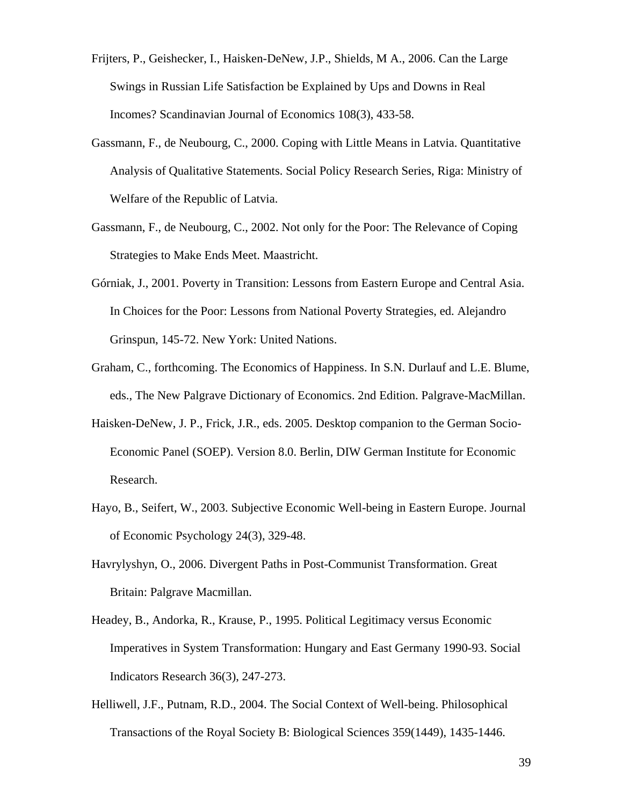- Frijters, P., Geishecker, I., Haisken-DeNew, J.P., Shields, M A., 2006. Can the Large Swings in Russian Life Satisfaction be Explained by Ups and Downs in Real Incomes? Scandinavian Journal of Economics 108(3), 433-58.
- Gassmann, F., de Neubourg, C., 2000. Coping with Little Means in Latvia. Quantitative Analysis of Qualitative Statements. Social Policy Research Series, Riga: Ministry of Welfare of the Republic of Latvia.
- Gassmann, F., de Neubourg, C., 2002. Not only for the Poor: The Relevance of Coping Strategies to Make Ends Meet. Maastricht.
- Górniak, J., 2001. Poverty in Transition: Lessons from Eastern Europe and Central Asia. In Choices for the Poor: Lessons from National Poverty Strategies, ed. Alejandro Grinspun, 145-72. New York: United Nations.
- Graham, C., forthcoming. The Economics of Happiness. In S.N. Durlauf and L.E. Blume, eds., The New Palgrave Dictionary of Economics. 2nd Edition. Palgrave-MacMillan.
- Haisken-DeNew, J. P., Frick, J.R., eds. 2005. Desktop companion to the German Socio-Economic Panel (SOEP). Version 8.0. Berlin, DIW German Institute for Economic Research.
- Hayo, B., Seifert, W., 2003. Subjective Economic Well-being in Eastern Europe. Journal of Economic Psychology 24(3), 329-48.
- Havrylyshyn, O., 2006. Divergent Paths in Post-Communist Transformation. Great Britain: Palgrave Macmillan.
- Headey, B., Andorka, R., Krause, P., 1995. Political Legitimacy versus Economic Imperatives in System Transformation: Hungary and East Germany 1990-93. Social Indicators Research 36(3), 247-273.
- Helliwell, J.F., Putnam, R.D., 2004. The Social Context of Well-being. Philosophical Transactions of the Royal Society B: Biological Sciences 359(1449), 1435-1446.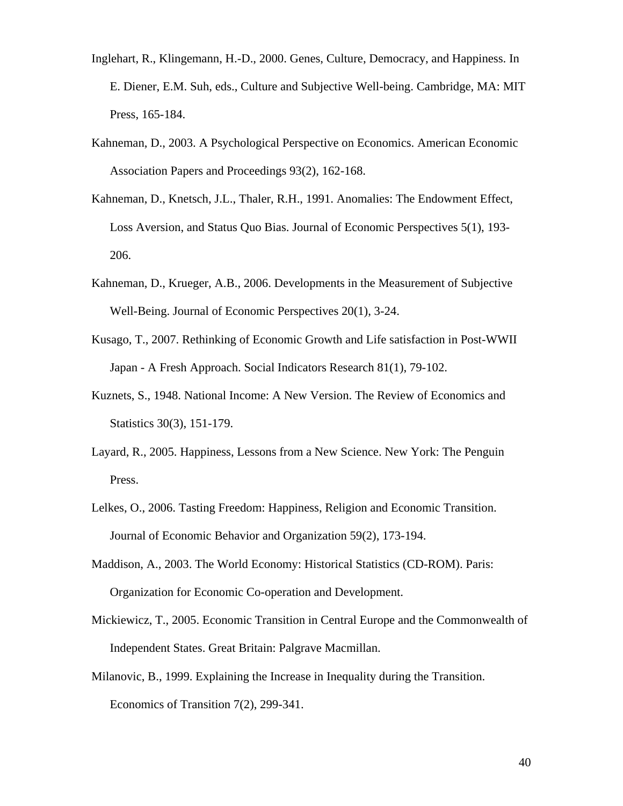- Inglehart, R., Klingemann, H.-D., 2000. Genes, Culture, Democracy, and Happiness. In E. Diener, E.M. Suh, eds., Culture and Subjective Well-being. Cambridge, MA: MIT Press, 165-184.
- Kahneman, D., 2003. A Psychological Perspective on Economics. American Economic Association Papers and Proceedings 93(2), 162-168.
- Kahneman, D., Knetsch, J.L., Thaler, R.H., 1991. Anomalies: The Endowment Effect, Loss Aversion, and Status Quo Bias. Journal of Economic Perspectives 5(1), 193- 206.
- Kahneman, D., Krueger, A.B., 2006. Developments in the Measurement of Subjective Well-Being. Journal of Economic Perspectives 20(1), 3-24.
- Kusago, T., 2007. Rethinking of Economic Growth and Life satisfaction in Post-WWII Japan - A Fresh Approach. Social Indicators Research 81(1), 79-102.
- Kuznets, S., 1948. National Income: A New Version. The Review of Economics and Statistics 30(3), 151-179.
- Layard, R., 2005. Happiness, Lessons from a New Science. New York: The Penguin Press.
- Lelkes, O., 2006. Tasting Freedom: Happiness, Religion and Economic Transition. Journal of Economic Behavior and Organization 59(2), 173-194.
- Maddison, A., 2003. The World Economy: Historical Statistics (CD-ROM). Paris: Organization for Economic Co-operation and Development.
- Mickiewicz, T., 2005. Economic Transition in Central Europe and the Commonwealth of Independent States. Great Britain: Palgrave Macmillan.
- Milanovic, B., 1999. Explaining the Increase in Inequality during the Transition. Economics of Transition 7(2), 299-341.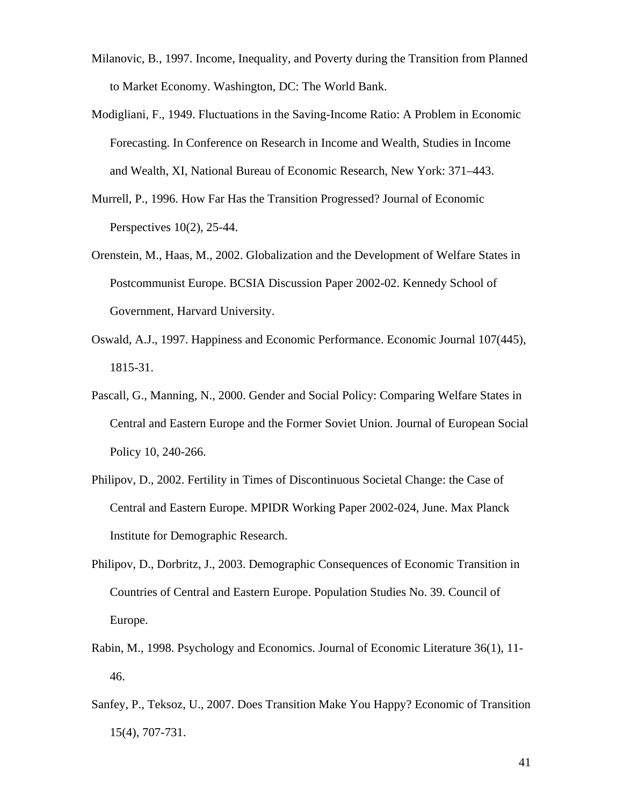- Milanovic, B., 1997. Income, Inequality, and Poverty during the Transition from Planned to Market Economy. Washington, DC: The World Bank.
- Modigliani, F., 1949. Fluctuations in the Saving-Income Ratio: A Problem in Economic Forecasting. In Conference on Research in Income and Wealth, Studies in Income and Wealth, XI, National Bureau of Economic Research, New York: 371–443.
- Murrell, P., 1996. How Far Has the Transition Progressed? Journal of Economic Perspectives 10(2), 25-44.
- Orenstein, M., Haas, M., 2002. Globalization and the Development of Welfare States in Postcommunist Europe. BCSIA Discussion Paper 2002-02. Kennedy School of Government, Harvard University.
- Oswald, A.J., 1997. Happiness and Economic Performance. Economic Journal 107(445), 1815-31.
- Pascall, G., Manning, N., 2000. Gender and Social Policy: Comparing Welfare States in Central and Eastern Europe and the Former Soviet Union. Journal of European Social Policy 10, 240-266.
- Philipov, D., 2002. Fertility in Times of Discontinuous Societal Change: the Case of Central and Eastern Europe. MPIDR Working Paper 2002-024, June. Max Planck Institute for Demographic Research.
- Philipov, D., Dorbritz, J., 2003. Demographic Consequences of Economic Transition in Countries of Central and Eastern Europe. Population Studies No. 39. Council of Europe.
- Rabin, M., 1998. Psychology and Economics. Journal of Economic Literature 36(1), 11- 46.
- Sanfey, P., Teksoz, U., 2007. Does Transition Make You Happy? Economic of Transition 15(4), 707-731.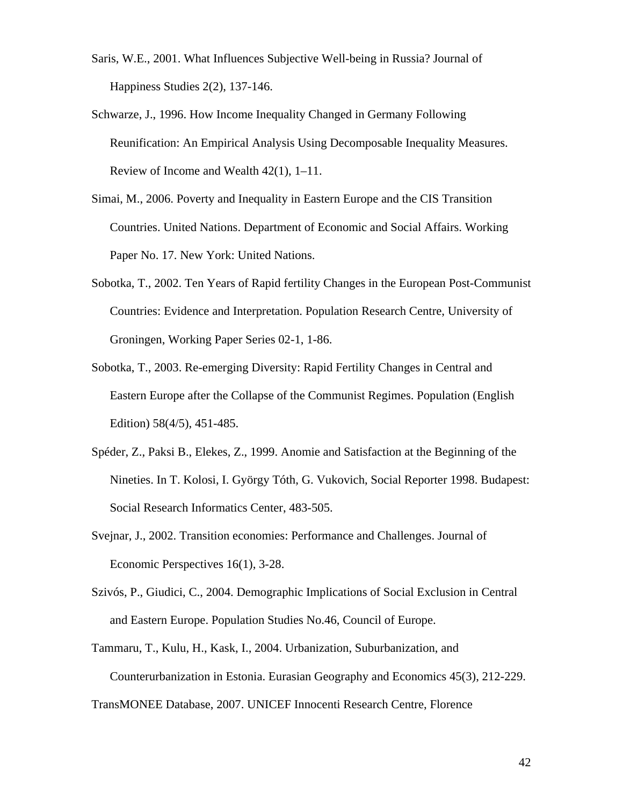- Saris, W.E., 2001. What Influences Subjective Well-being in Russia? Journal of Happiness Studies 2(2), 137-146.
- Schwarze, J., 1996. How Income Inequality Changed in Germany Following Reunification: An Empirical Analysis Using Decomposable Inequality Measures. Review of Income and Wealth 42(1), 1–11.
- Simai, M., 2006. Poverty and Inequality in Eastern Europe and the CIS Transition Countries. United Nations. Department of Economic and Social Affairs. Working Paper No. 17. New York: United Nations.
- Sobotka, T., 2002. Ten Years of Rapid fertility Changes in the European Post-Communist Countries: Evidence and Interpretation. Population Research Centre, University of Groningen, Working Paper Series 02-1, 1-86.
- Sobotka, T., 2003. Re-emerging Diversity: Rapid Fertility Changes in Central and Eastern Europe after the Collapse of the Communist Regimes. Population (English Edition) 58(4/5), 451-485.
- Spéder, Z., Paksi B., Elekes, Z., 1999. Anomie and Satisfaction at the Beginning of the Nineties. In T. Kolosi, I. György Tóth, G. Vukovich, Social Reporter 1998. Budapest: Social Research Informatics Center, 483-505.
- Svejnar, J., 2002. Transition economies: Performance and Challenges. Journal of Economic Perspectives 16(1), 3-28.
- Szivós, P., Giudici, C., 2004. Demographic Implications of Social Exclusion in Central and Eastern Europe. Population Studies No.46, Council of Europe.
- Tammaru, T., Kulu, H., Kask, I., 2004. Urbanization, Suburbanization, and Counterurbanization in Estonia. Eurasian Geography and Economics 45(3), 212-229.

TransMONEE Database, 2007. UNICEF Innocenti Research Centre, Florence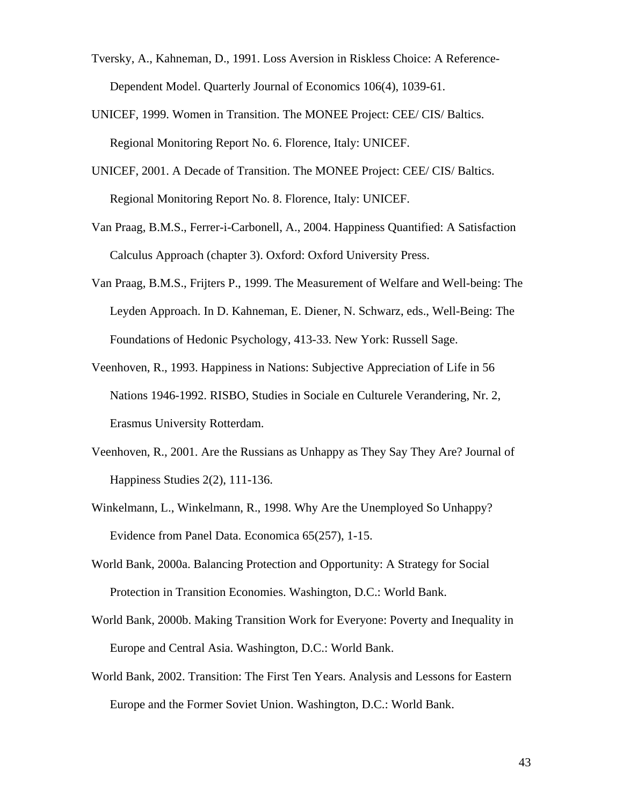- Tversky, A., Kahneman, D., 1991. Loss Aversion in Riskless Choice: A Reference-Dependent Model. Quarterly Journal of Economics 106(4), 1039-61.
- UNICEF, 1999. Women in Transition. The MONEE Project: CEE/ CIS/ Baltics. Regional Monitoring Report No. 6. Florence, Italy: UNICEF.
- UNICEF, 2001. A Decade of Transition. The MONEE Project: CEE/ CIS/ Baltics. Regional Monitoring Report No. 8. Florence, Italy: UNICEF.
- Van Praag, B.M.S., Ferrer-i-Carbonell, A., 2004. Happiness Quantified: A Satisfaction Calculus Approach (chapter 3). Oxford: Oxford University Press.
- Van Praag, B.M.S., Frijters P., 1999. The Measurement of Welfare and Well-being: The Leyden Approach. In D. Kahneman, E. Diener, N. Schwarz, eds., Well-Being: The Foundations of Hedonic Psychology, 413-33. New York: Russell Sage.
- Veenhoven, R., 1993. Happiness in Nations: Subjective Appreciation of Life in 56 Nations 1946-1992. RISBO, Studies in Sociale en Culturele Verandering, Nr. 2, Erasmus University Rotterdam.
- Veenhoven, R., 2001. Are the Russians as Unhappy as They Say They Are? Journal of Happiness Studies 2(2), 111-136.
- Winkelmann, L., Winkelmann, R., 1998. Why Are the Unemployed So Unhappy? Evidence from Panel Data. Economica 65(257), 1-15.
- World Bank, 2000a. Balancing Protection and Opportunity: A Strategy for Social Protection in Transition Economies. Washington, D.C.: World Bank.
- World Bank, 2000b. Making Transition Work for Everyone: Poverty and Inequality in Europe and Central Asia. Washington, D.C.: World Bank.
- World Bank, 2002. Transition: The First Ten Years. Analysis and Lessons for Eastern Europe and the Former Soviet Union. Washington, D.C.: World Bank.